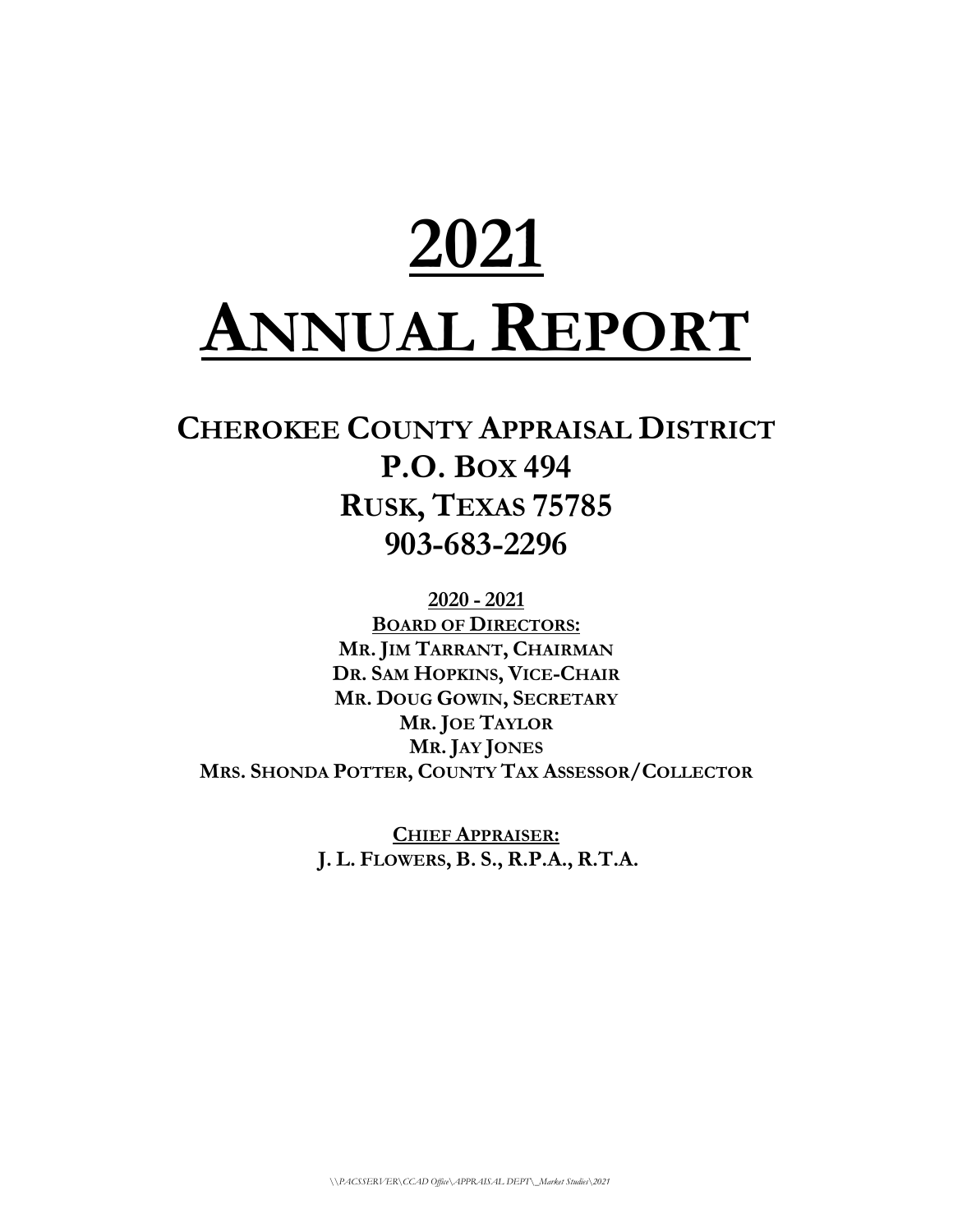# **2021 ANNUAL REPORT**

# **CHEROKEE COUNTY APPRAISAL DISTRICT P.O. BOX 494 RUSK, TEXAS 75785 903-683-2296**

**2020 - 2021 BOARD OF DIRECTORS: MR. JIM TARRANT, CHAIRMAN DR. SAM HOPKINS, VICE-CHAIR MR. DOUG GOWIN, SECRETARY MR. JOE TAYLOR MR. JAY JONES MRS. SHONDA POTTER, COUNTY TAX ASSESSOR/COLLECTOR**

> **CHIEF APPRAISER: J. L. FLOWERS, B. S., R.P.A., R.T.A.**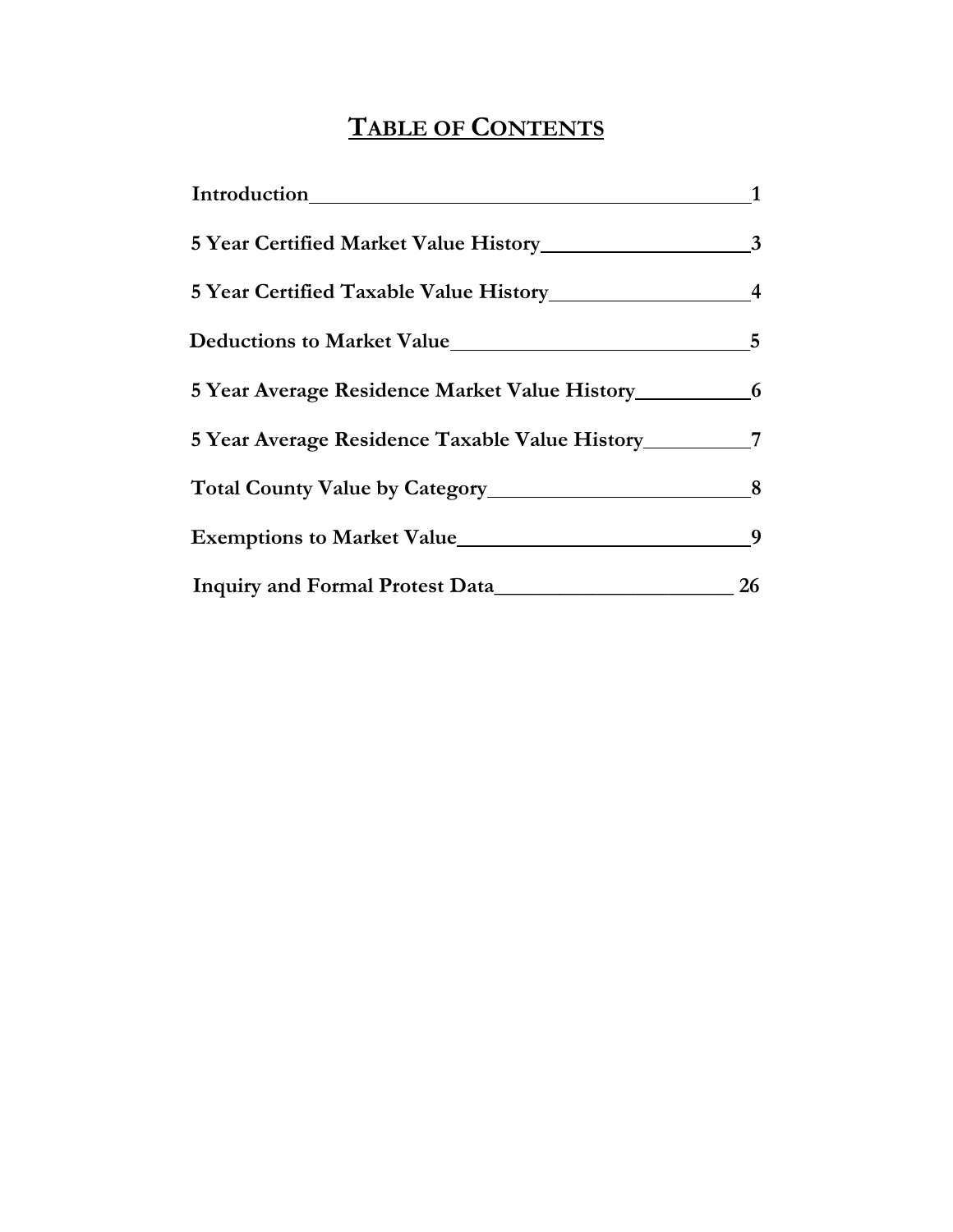## **TABLE OF CONTENTS**

| Introduction                                                                      |    |
|-----------------------------------------------------------------------------------|----|
|                                                                                   |    |
|                                                                                   |    |
|                                                                                   | 5  |
| 5 Year Average Residence Market Value History ___________________________________ |    |
| 5 Year Average Residence Taxable Value History                                    | 7  |
|                                                                                   | 8  |
| Exemptions to Market Value                                                        | 9  |
| Inquiry and Formal Protest Data                                                   | 26 |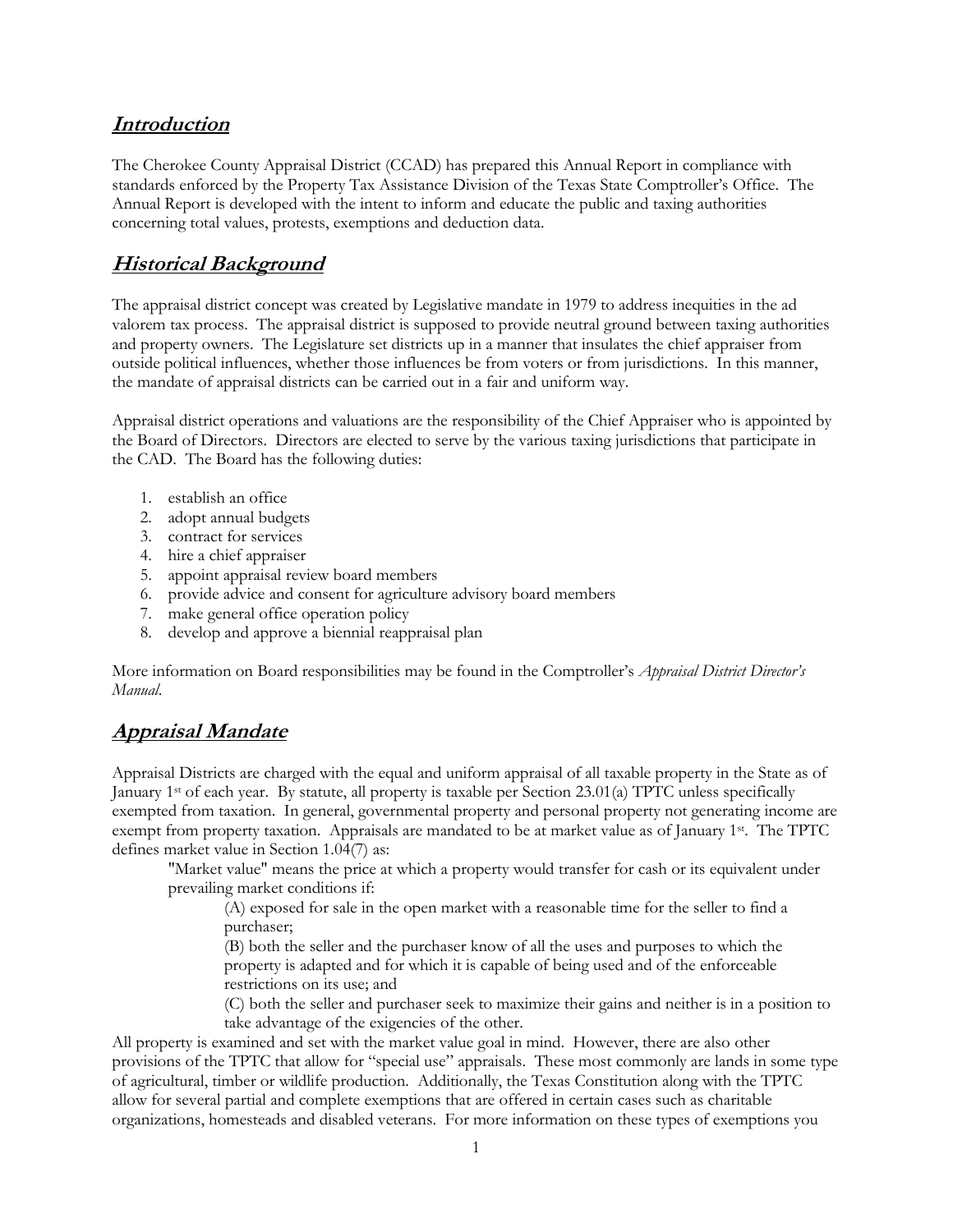#### **Introduction**

The Cherokee County Appraisal District (CCAD) has prepared this Annual Report in compliance with standards enforced by the Property Tax Assistance Division of the Texas State Comptroller's Office. The Annual Report is developed with the intent to inform and educate the public and taxing authorities concerning total values, protests, exemptions and deduction data.

#### **Historical Background**

The appraisal district concept was created by Legislative mandate in 1979 to address inequities in the ad valorem tax process. The appraisal district is supposed to provide neutral ground between taxing authorities and property owners. The Legislature set districts up in a manner that insulates the chief appraiser from outside political influences, whether those influences be from voters or from jurisdictions. In this manner, the mandate of appraisal districts can be carried out in a fair and uniform way.

Appraisal district operations and valuations are the responsibility of the Chief Appraiser who is appointed by the Board of Directors. Directors are elected to serve by the various taxing jurisdictions that participate in the CAD. The Board has the following duties:

- 1. establish an office
- 2. adopt annual budgets
- 3. contract for services
- 4. hire a chief appraiser
- 5. appoint appraisal review board members
- 6. provide advice and consent for agriculture advisory board members
- 7. make general office operation policy
- 8. develop and approve a biennial reappraisal plan

More information on Board responsibilities may be found in the Comptroller's *Appraisal District Director's Manual*.

#### **Appraisal Mandate**

Appraisal Districts are charged with the equal and uniform appraisal of all taxable property in the State as of January 1st of each year. By statute, all property is taxable per Section 23.01(a) TPTC unless specifically exempted from taxation. In general, governmental property and personal property not generating income are exempt from property taxation. Appraisals are mandated to be at market value as of January 1st. The TPTC defines market value in Section 1.04(7) as:

"Market value" means the price at which a property would transfer for cash or its equivalent under prevailing market conditions if:

(A) exposed for sale in the open market with a reasonable time for the seller to find a purchaser;

(B) both the seller and the purchaser know of all the uses and purposes to which the property is adapted and for which it is capable of being used and of the enforceable restrictions on its use; and

(C) both the seller and purchaser seek to maximize their gains and neither is in a position to take advantage of the exigencies of the other.

All property is examined and set with the market value goal in mind. However, there are also other provisions of the TPTC that allow for "special use" appraisals. These most commonly are lands in some type of agricultural, timber or wildlife production. Additionally, the Texas Constitution along with the TPTC allow for several partial and complete exemptions that are offered in certain cases such as charitable organizations, homesteads and disabled veterans. For more information on these types of exemptions you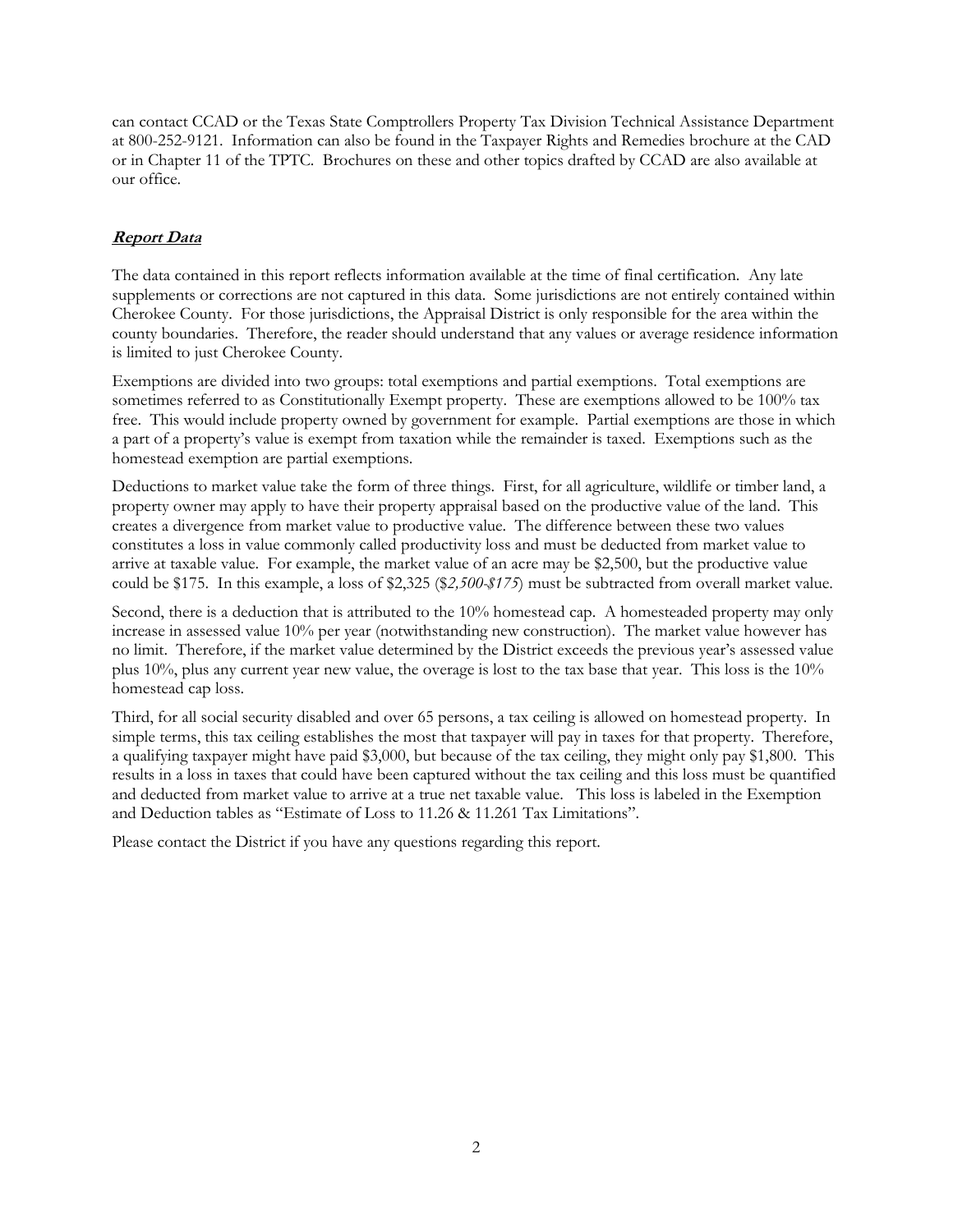can contact CCAD or the Texas State Comptrollers Property Tax Division Technical Assistance Department at 800-252-9121. Information can also be found in the Taxpayer Rights and Remedies brochure at the CAD or in Chapter 11 of the TPTC. Brochures on these and other topics drafted by CCAD are also available at our office.

#### **Report Data**

The data contained in this report reflects information available at the time of final certification. Any late supplements or corrections are not captured in this data. Some jurisdictions are not entirely contained within Cherokee County. For those jurisdictions, the Appraisal District is only responsible for the area within the county boundaries. Therefore, the reader should understand that any values or average residence information is limited to just Cherokee County.

Exemptions are divided into two groups: total exemptions and partial exemptions. Total exemptions are sometimes referred to as Constitutionally Exempt property. These are exemptions allowed to be 100% tax free. This would include property owned by government for example. Partial exemptions are those in which a part of a property's value is exempt from taxation while the remainder is taxed. Exemptions such as the homestead exemption are partial exemptions.

Deductions to market value take the form of three things. First, for all agriculture, wildlife or timber land, a property owner may apply to have their property appraisal based on the productive value of the land. This creates a divergence from market value to productive value. The difference between these two values constitutes a loss in value commonly called productivity loss and must be deducted from market value to arrive at taxable value. For example, the market value of an acre may be \$2,500, but the productive value could be \$175. In this example, a loss of \$2,325 (\$*2,500-\$175*) must be subtracted from overall market value.

Second, there is a deduction that is attributed to the 10% homestead cap. A homesteaded property may only increase in assessed value 10% per year (notwithstanding new construction). The market value however has no limit. Therefore, if the market value determined by the District exceeds the previous year's assessed value plus 10%, plus any current year new value, the overage is lost to the tax base that year. This loss is the 10% homestead cap loss.

Third, for all social security disabled and over 65 persons, a tax ceiling is allowed on homestead property. In simple terms, this tax ceiling establishes the most that taxpayer will pay in taxes for that property. Therefore, a qualifying taxpayer might have paid \$3,000, but because of the tax ceiling, they might only pay \$1,800. This results in a loss in taxes that could have been captured without the tax ceiling and this loss must be quantified and deducted from market value to arrive at a true net taxable value. This loss is labeled in the Exemption and Deduction tables as "Estimate of Loss to 11.26 & 11.261 Tax Limitations".

Please contact the District if you have any questions regarding this report.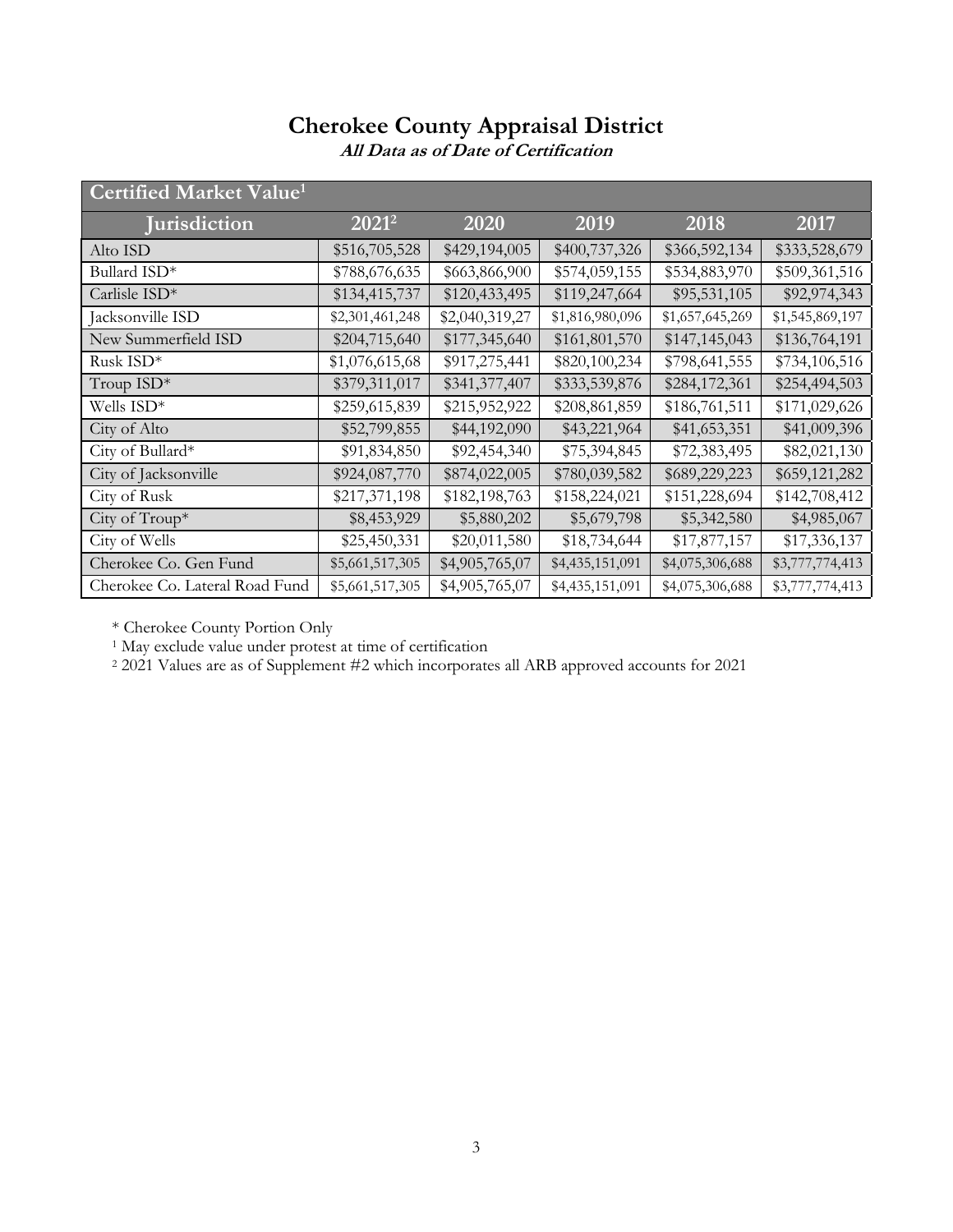| Certified Market Value <sup>1</sup> |                 |                |                 |                 |                 |
|-------------------------------------|-----------------|----------------|-----------------|-----------------|-----------------|
| <b>Jurisdiction</b>                 | $2021^2$        | 2020           | 2019            | 2018            | 2017            |
| Alto ISD                            | \$516,705,528   | \$429,194,005  | \$400,737,326   | \$366,592,134   | \$333,528,679   |
| Bullard ISD*                        | \$788,676,635   | \$663,866,900  | \$574,059,155   | \$534,883,970   | \$509,361,516   |
| Carlisle $ISD*$                     | \$134,415,737   | \$120,433,495  | \$119,247,664   | \$95,531,105    | \$92,974,343    |
| Jacksonville ISD                    | \$2,301,461,248 | \$2,040,319,27 | \$1,816,980,096 | \$1,657,645,269 | \$1,545,869,197 |
| New Summerfield ISD                 | \$204,715,640   | \$177,345,640  | \$161,801,570   | \$147,145,043   | \$136,764,191   |
| Rusk ISD*                           | \$1,076,615,68  | \$917,275,441  | \$820,100,234   | \$798,641,555   | \$734,106,516   |
| Troup ISD*                          | \$379,311,017   | \$341,377,407  | \$333,539,876   | \$284,172,361   | \$254,494,503   |
| Wells ISD*                          | \$259,615,839   | \$215,952,922  | \$208,861,859   | \$186,761,511   | \$171,029,626   |
| City of Alto                        | \$52,799,855    | \$44,192,090   | \$43,221,964    | \$41,653,351    | \$41,009,396    |
| City of Bullard*                    | \$91,834,850    | \$92,454,340   | \$75,394,845    | \$72,383,495    | \$82,021,130    |
| City of Jacksonville                | \$924,087,770   | \$874,022,005  | \$780,039,582   | \$689,229,223   | \$659,121,282   |
| City of Rusk                        | \$217,371,198   | \$182,198,763  | \$158,224,021   | \$151,228,694   | \$142,708,412   |
| City of $Troup^*$                   | \$8,453,929     | \$5,880,202    | \$5,679,798     | \$5,342,580     | \$4,985,067     |
| City of Wells                       | \$25,450,331    | \$20,011,580   | \$18,734,644    | \$17,877,157    | \$17,336,137    |
| Cherokee Co. Gen Fund               | \$5,661,517,305 | \$4,905,765,07 | \$4,435,151,091 | \$4,075,306,688 | \$3,777,774,413 |
| Cherokee Co. Lateral Road Fund      | \$5,661,517,305 | \$4,905,765,07 | \$4,435,151,091 | \$4,075,306,688 | \$3,777,774,413 |
|                                     |                 |                |                 |                 |                 |

**All Data as of Date of Certification**

\* Cherokee County Portion Only

<sup>1</sup> May exclude value under protest at time of certification

<sup>2</sup> 2021 Values are as of Supplement #2 which incorporates all ARB approved accounts for 2021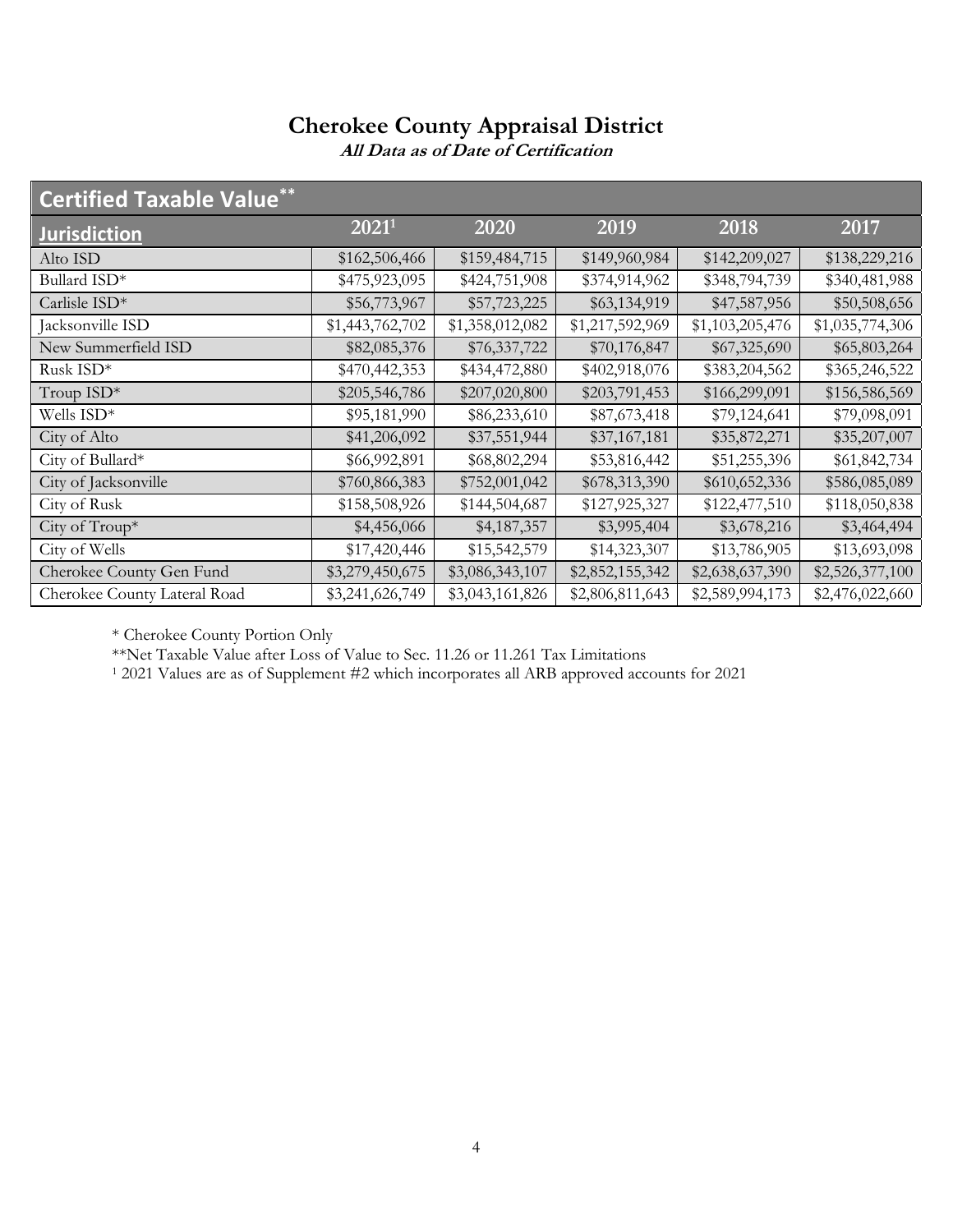**All Data as of Date of Certification**

| <b>Certified Taxable Value**</b> |                 |                 |                 |                 |                 |
|----------------------------------|-----------------|-----------------|-----------------|-----------------|-----------------|
| <b>Jurisdiction</b>              | $2021^1$        | 2020            | 2019            | 2018            | 2017            |
| Alto ISD                         | \$162,506,466   | \$159,484,715   | \$149,960,984   | \$142,209,027   | \$138,229,216   |
| Bullard ISD*                     | \$475,923,095   | \$424,751,908   | \$374,914,962   | \$348,794,739   | \$340,481,988   |
| Carlisle ISD*                    | \$56,773,967    | \$57,723,225    | \$63,134,919    | \$47,587,956    | \$50,508,656    |
| Jacksonville ISD                 | \$1,443,762,702 | \$1,358,012,082 | \$1,217,592,969 | \$1,103,205,476 | \$1,035,774,306 |
| New Summerfield ISD              | \$82,085,376    | \$76,337,722    | \$70,176,847    | \$67,325,690    | \$65,803,264    |
| Rusk ISD*                        | \$470,442,353   | \$434,472,880   | \$402,918,076   | \$383,204,562   | \$365,246,522   |
| Troup ISD*                       | \$205,546,786   | \$207,020,800   | \$203,791,453   | \$166,299,091   | \$156,586,569   |
| Wells ISD*                       | \$95,181,990    | \$86,233,610    | \$87,673,418    | \$79,124,641    | \$79,098,091    |
| City of Alto                     | \$41,206,092    | \$37,551,944    | \$37,167,181    | \$35,872,271    | \$35,207,007    |
| City of Bullard*                 | \$66,992,891    | \$68,802,294    | \$53,816,442    | \$51,255,396    | \$61,842,734    |
| City of Jacksonville             | \$760,866,383   | \$752,001,042   | \$678,313,390   | \$610,652,336   | \$586,085,089   |
| City of Rusk                     | \$158,508,926   | \$144,504,687   | \$127,925,327   | \$122,477,510   | \$118,050,838   |
| City of Troup*                   | \$4,456,066     | \$4,187,357     | \$3,995,404     | \$3,678,216     | \$3,464,494     |
| City of Wells                    | \$17,420,446    | \$15,542,579    | \$14,323,307    | \$13,786,905    | \$13,693,098    |
| Cherokee County Gen Fund         | \$3,279,450,675 | \$3,086,343,107 | \$2,852,155,342 | \$2,638,637,390 | \$2,526,377,100 |
| Cherokee County Lateral Road     | \$3,241,626,749 | \$3,043,161,826 | \$2,806,811,643 | \$2,589,994,173 | \$2,476,022,660 |

\* Cherokee County Portion Only

\*\*Net Taxable Value after Loss of Value to Sec. 11.26 or 11.261 Tax Limitations

<sup>1</sup> 2021 Values are as of Supplement #2 which incorporates all ARB approved accounts for 2021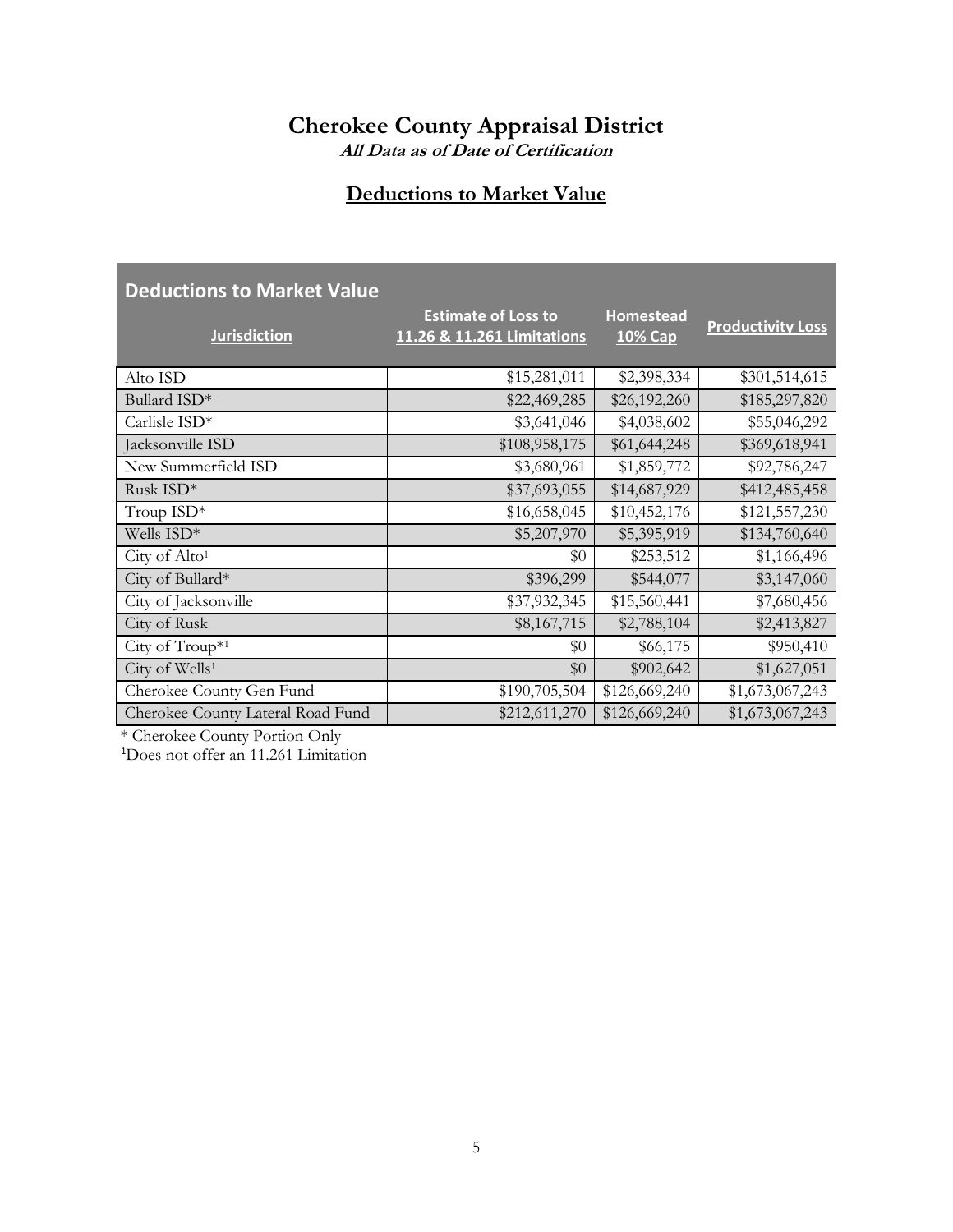#### **All Data as of Date of Certification**

## **Deductions to Market Value**

| <b>Deductions to Market Value</b> |                                                          |                                    |                          |
|-----------------------------------|----------------------------------------------------------|------------------------------------|--------------------------|
| <b>Jurisdiction</b>               | <b>Estimate of Loss to</b><br>11.26 & 11.261 Limitations | <b>Homestead</b><br><b>10% Cap</b> | <b>Productivity Loss</b> |
| Alto ISD                          | \$15,281,011                                             | \$2,398,334                        | \$301,514,615            |
| Bullard ISD*                      | \$22,469,285                                             | \$26,192,260                       | \$185,297,820            |
| Carlisle ISD*                     | \$3,641,046                                              | \$4,038,602                        | \$55,046,292             |
| Jacksonville ISD                  | \$108,958,175                                            | \$61,644,248                       | \$369,618,941            |
| New Summerfield ISD               | \$3,680,961                                              | \$1,859,772                        | \$92,786,247             |
| Rusk ISD*                         | \$37,693,055                                             | \$14,687,929                       | \$412,485,458            |
| Troup ISD*                        | \$16,658,045                                             | \$10,452,176                       | \$121,557,230            |
| Wells ISD*                        | \$5,207,970                                              | \$5,395,919                        | \$134,760,640            |
| City of Alto <sup>1</sup>         | \$0                                                      | \$253,512                          | \$1,166,496              |
| City of Bullard*                  | \$396,299                                                | \$544,077                          | \$3,147,060              |
| City of Jacksonville              | \$37,932,345                                             | \$15,560,441                       | \$7,680,456              |
| City of Rusk                      | \$8,167,715                                              | \$2,788,104                        | \$2,413,827              |
| City of $Troup^{*1}$              | \$0                                                      | \$66,175                           | \$950,410                |
| City of Wells <sup>1</sup>        | \$0                                                      | \$902,642                          | \$1,627,051              |
| Cherokee County Gen Fund          | \$190,705,504                                            | \$126,669,240                      | \$1,673,067,243          |
| Cherokee County Lateral Road Fund | \$212,611,270                                            | \$126,669,240                      | \$1,673,067,243          |

\* Cherokee County Portion Only

1Does not offer an 11.261 Limitation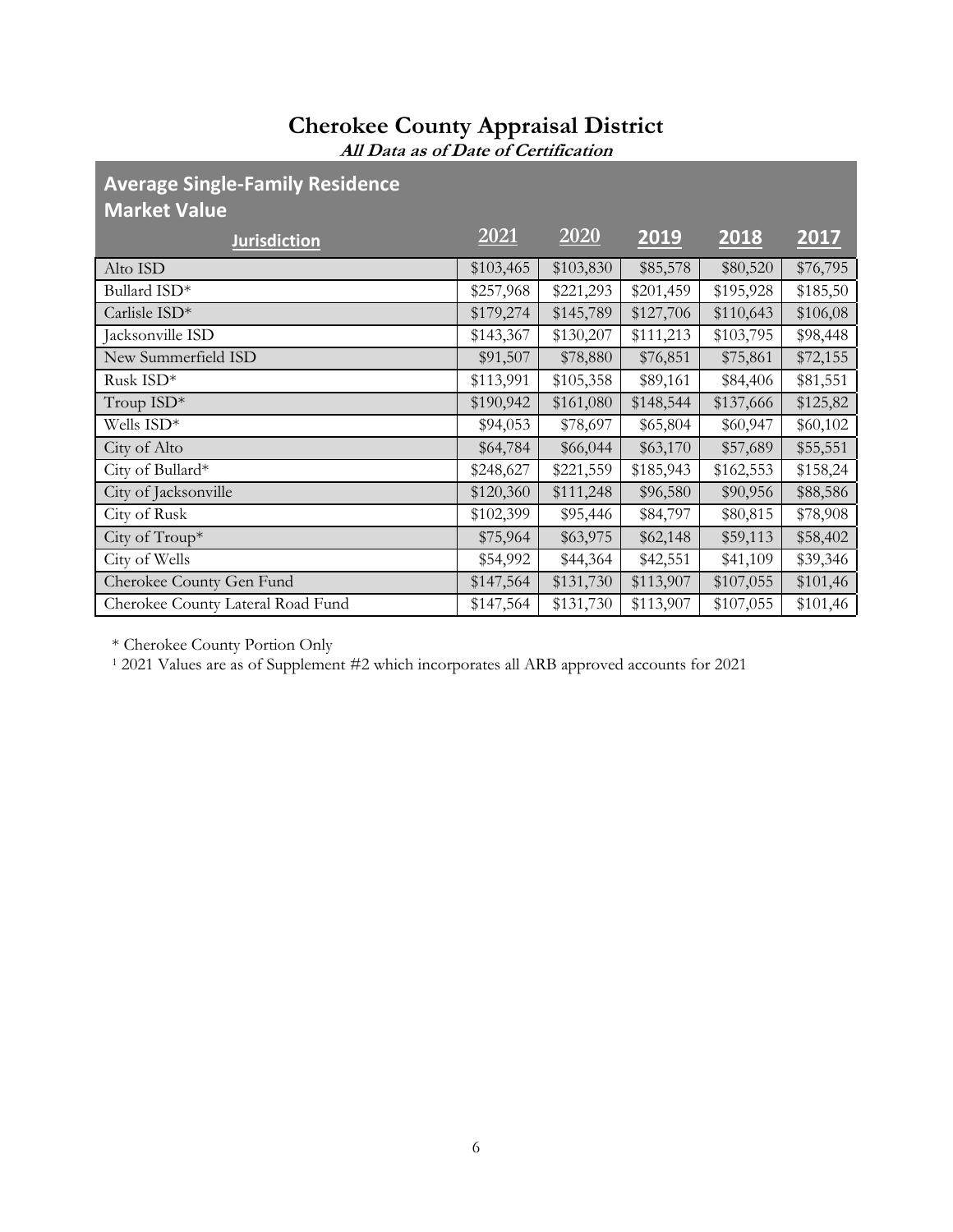**All Data as of Date of Certification**

#### **Average Single-Family Residence Market Value**

| <b>Jurisdiction</b>               | 2021      | 2020      | 2019      | 2018      | 2017     |
|-----------------------------------|-----------|-----------|-----------|-----------|----------|
| Alto ISD                          | \$103,465 | \$103,830 | \$85,578  | \$80,520  | \$76,795 |
| Bullard ISD*                      | \$257,968 | \$221,293 | \$201,459 | \$195,928 | \$185,50 |
| Carlisle ISD*                     | \$179,274 | \$145,789 | \$127,706 | \$110,643 | \$106,08 |
| Jacksonville ISD                  | \$143,367 | \$130,207 | \$111,213 | \$103,795 | \$98,448 |
| New Summerfield ISD               | \$91,507  | \$78,880  | \$76,851  | \$75,861  | \$72,155 |
| Rusk ISD*                         | \$113,991 | \$105,358 | \$89,161  | \$84,406  | \$81,551 |
| Troup ISD*                        | \$190,942 | \$161,080 | \$148,544 | \$137,666 | \$125,82 |
| Wells ISD*                        | \$94,053  | \$78,697  | \$65,804  | \$60,947  | \$60,102 |
| City of Alto                      | \$64,784  | \$66,044  | \$63,170  | \$57,689  | \$55,551 |
| City of Bullard*                  | \$248,627 | \$221,559 | \$185,943 | \$162,553 | \$158,24 |
| City of Jacksonville              | \$120,360 | \$111,248 | \$96,580  | \$90,956  | \$88,586 |
| City of Rusk                      | \$102,399 | \$95,446  | \$84,797  | \$80,815  | \$78,908 |
| City of Troup*                    | \$75,964  | \$63,975  | \$62,148  | \$59,113  | \$58,402 |
| City of Wells                     | \$54,992  | \$44,364  | \$42,551  | \$41,109  | \$39,346 |
| Cherokee County Gen Fund          | \$147,564 | \$131,730 | \$113,907 | \$107,055 | \$101,46 |
| Cherokee County Lateral Road Fund | \$147,564 | \$131,730 | \$113,907 | \$107,055 | \$101,46 |
|                                   |           |           |           |           |          |

\* Cherokee County Portion Only

<sup>1</sup> 2021 Values are as of Supplement #2 which incorporates all ARB approved accounts for 2021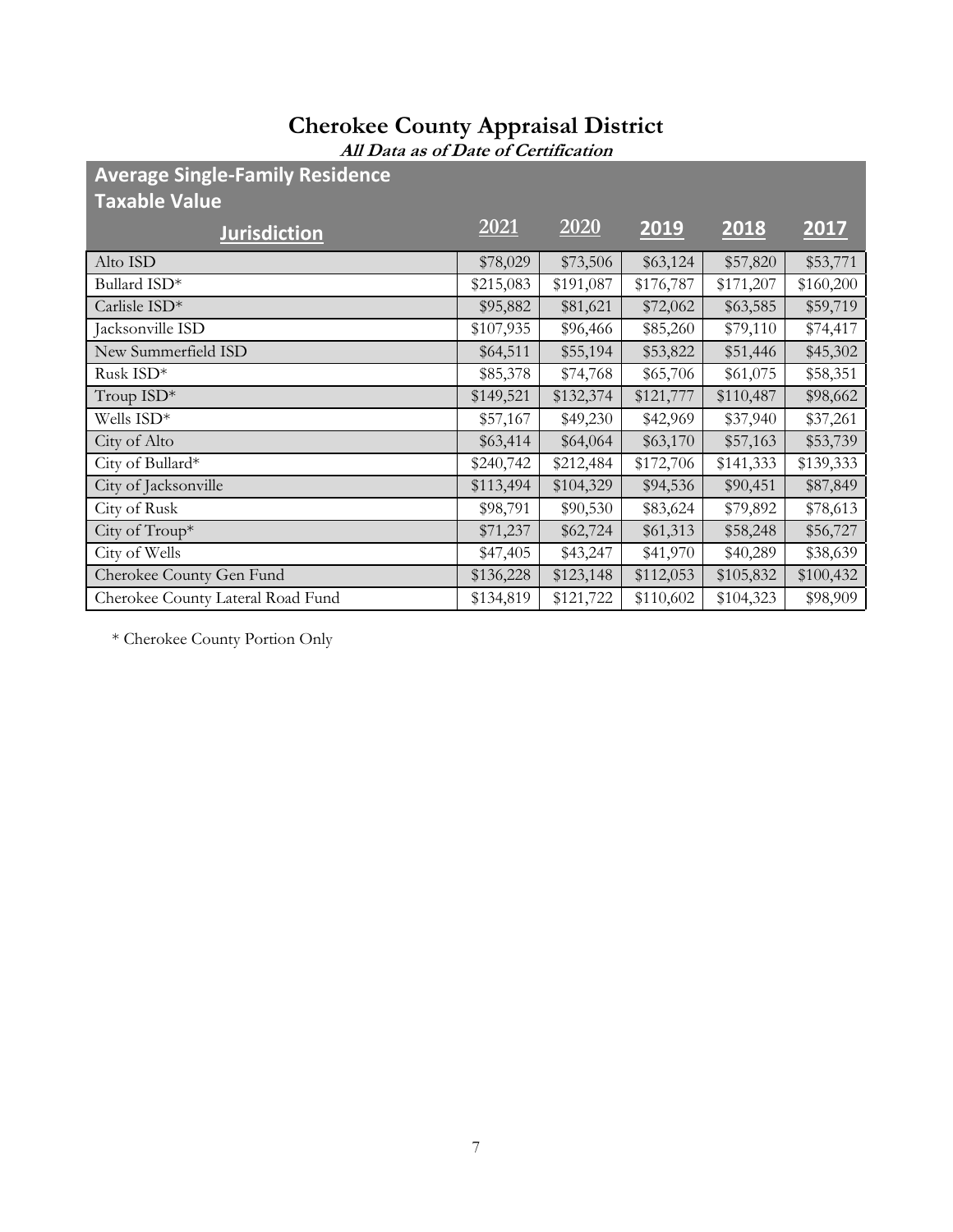**All Data as of Date of Certification**

**Average Single-Family Residence** 

| <b>Taxable Value</b>              |           |           |           |           |           |
|-----------------------------------|-----------|-----------|-----------|-----------|-----------|
| <b>Jurisdiction</b>               | 2021      | 2020      | 2019      | 2018      | 2017      |
| Alto ISD                          | \$78,029  | \$73,506  | \$63,124  | \$57,820  | \$53,771  |
| Bullard ISD*                      | \$215,083 | \$191,087 | \$176,787 | \$171,207 | \$160,200 |
| Carlisle ISD*                     | \$95,882  | \$81,621  | \$72,062  | \$63,585  | \$59,719  |
| Jacksonville ISD                  | \$107,935 | \$96,466  | \$85,260  | \$79,110  | \$74,417  |
| New Summerfield ISD               | \$64,511  | \$55,194  | \$53,822  | \$51,446  | \$45,302  |
| Rusk ISD*                         | \$85,378  | \$74,768  | \$65,706  | \$61,075  | \$58,351  |
| Troup $ISD^*$                     | \$149,521 | \$132,374 | \$121,777 | \$110,487 | \$98,662  |
| Wells ISD*                        | \$57,167  | \$49,230  | \$42,969  | \$37,940  | \$37,261  |
| City of Alto                      | \$63,414  | \$64,064  | \$63,170  | \$57,163  | \$53,739  |
| City of Bullard*                  | \$240,742 | \$212,484 | \$172,706 | \$141,333 | \$139,333 |
| City of Jacksonville              | \$113,494 | \$104,329 | \$94,536  | \$90,451  | \$87,849  |
| City of Rusk                      | \$98,791  | \$90,530  | \$83,624  | \$79,892  | \$78,613  |
| City of Troup*                    | \$71,237  | \$62,724  | \$61,313  | \$58,248  | \$56,727  |
| City of Wells                     | \$47,405  | \$43,247  | \$41,970  | \$40,289  | \$38,639  |
| Cherokee County Gen Fund          | \$136,228 | \$123,148 | \$112,053 | \$105,832 | \$100,432 |
| Cherokee County Lateral Road Fund | \$134,819 | \$121,722 | \$110,602 | \$104,323 | \$98,909  |

\* Cherokee County Portion Only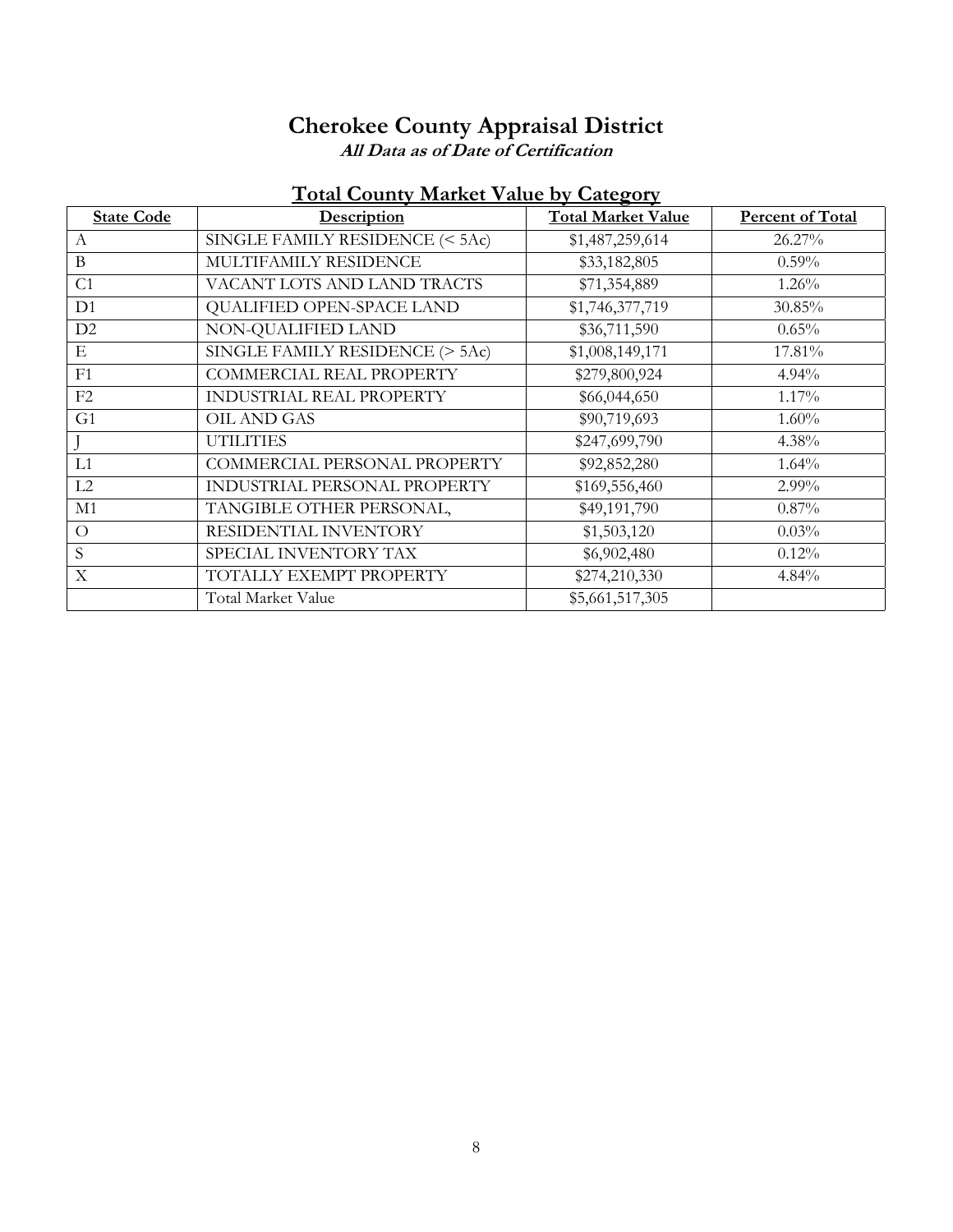**All Data as of Date of Certification**

#### **Total County Market Value by Category**

| <b>State Code</b> | Description                     | <b>Total Market Value</b> | <b>Percent of Total</b> |
|-------------------|---------------------------------|---------------------------|-------------------------|
| $\mathsf{A}$      | SINGLE FAMILY RESIDENCE (< 5Ac) | \$1,487,259,614           | 26.27%                  |
| $\bf{B}$          | MULTIFAMILY RESIDENCE           | \$33,182,805              | $0.59\%$                |
| C <sub>1</sub>    | VACANT LOTS AND LAND TRACTS     | \$71,354,889              | $1.26\%$                |
| D <sub>1</sub>    | QUALIFIED OPEN-SPACE LAND       | \$1,746,377,719           | 30.85%                  |
| D2                | NON-QUALIFIED LAND              | \$36,711,590              | $0.65\%$                |
| Ε                 | SINGLE FAMILY RESIDENCE (> 5Ac) | \$1,008,149,171           | 17.81%                  |
| F1                | COMMERCIAL REAL PROPERTY        | \$279,800,924             | 4.94%                   |
| F2                | INDUSTRIAL REAL PROPERTY        | \$66,044,650              | $1.17\%$                |
| G <sub>1</sub>    | OIL AND GAS                     | \$90,719,693              | $1.60\%$                |
|                   | <b>UTILITIES</b>                | \$247,699,790             | 4.38%                   |
| L1                | COMMERCIAL PERSONAL PROPERTY    | \$92,852,280              | 1.64%                   |
| L2                | INDUSTRIAL PERSONAL PROPERTY    | \$169,556,460             | 2.99%                   |
| M1                | TANGIBLE OTHER PERSONAL,        | \$49,191,790              | $0.87\%$                |
| $\Omega$          | RESIDENTIAL INVENTORY           | \$1,503,120               | 0.03%                   |
| S                 | SPECIAL INVENTORY TAX           | \$6,902,480               | $0.12\%$                |
| X                 | TOTALLY EXEMPT PROPERTY         | \$274,210,330             | 4.84%                   |
|                   | Total Market Value              | \$5,661,517,305           |                         |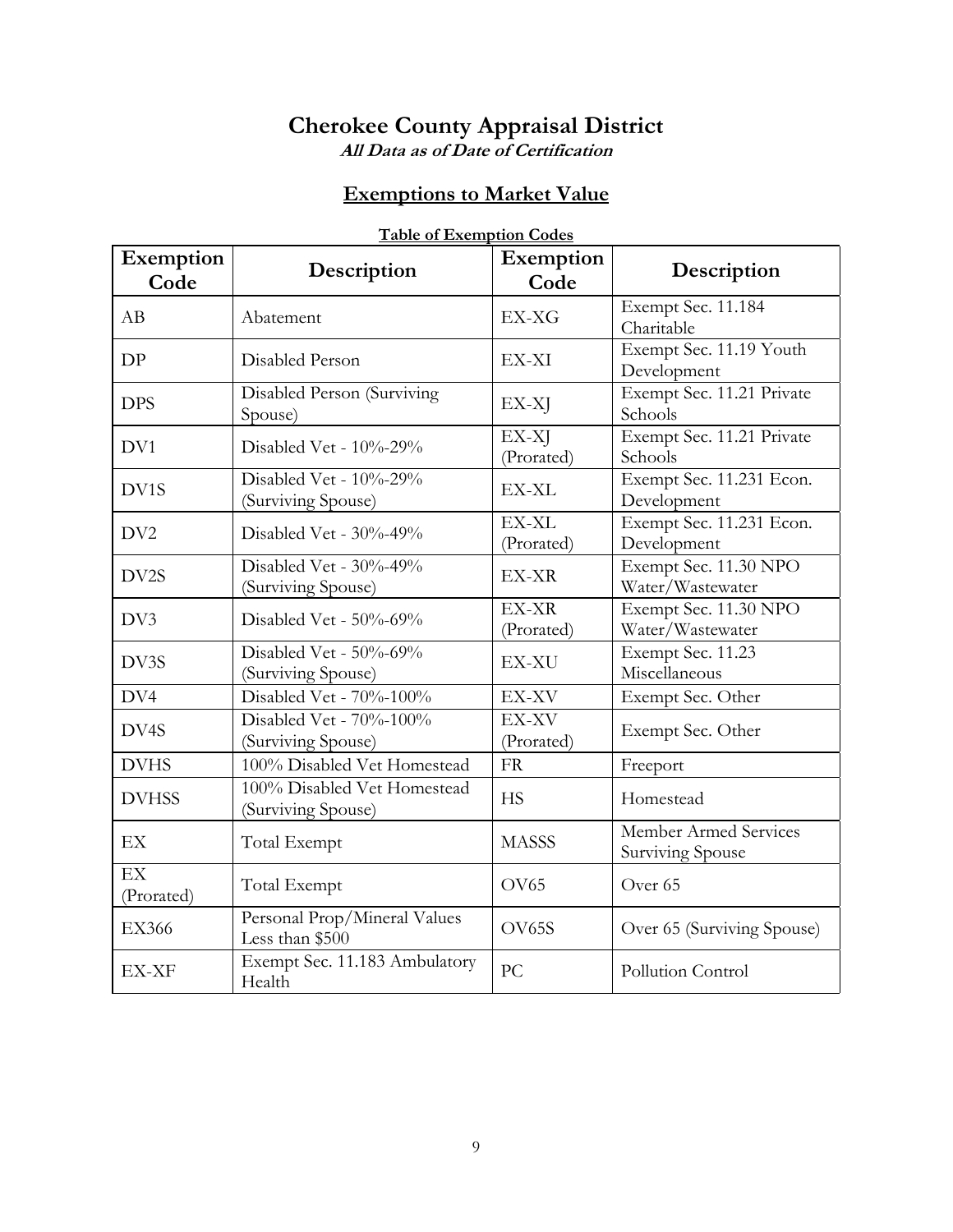**All Data as of Date of Certification**

#### **Exemptions to Market Value**

| Exemption<br>Code                    | Description                                       | Exemption<br>Code   | Description                               |
|--------------------------------------|---------------------------------------------------|---------------------|-------------------------------------------|
| AB                                   | Abatement                                         | EX-XG               | Exempt Sec. 11.184<br>Charitable          |
| DP                                   | Disabled Person                                   | EX-XI               | Exempt Sec. 11.19 Youth<br>Development    |
| <b>DPS</b>                           | Disabled Person (Surviving<br>Spouse)             | EX-XJ               | Exempt Sec. 11.21 Private<br>Schools      |
| DV1                                  | Disabled Vet - $10\%$ -29%                        | EX-XJ<br>(Prorated) | Exempt Sec. 11.21 Private<br>Schools      |
| DV1S                                 | Disabled Vet - 10%-29%<br>(Surviving Spouse)      | EX-XL               | Exempt Sec. 11.231 Econ.<br>Development   |
| DV <sub>2</sub>                      | Disabled Vet - 30%-49%                            | EX-XL<br>(Prorated) | Exempt Sec. 11.231 Econ.<br>Development   |
| DV2S                                 | Disabled Vet - 30%-49%<br>(Surviving Spouse)      | EX-XR               | Exempt Sec. 11.30 NPO<br>Water/Wastewater |
| DV3                                  | Disabled Vet - $50\%$ -69%                        | EX-XR<br>(Prorated) | Exempt Sec. 11.30 NPO<br>Water/Wastewater |
| DV3S                                 | Disabled Vet - 50%-69%<br>(Surviving Spouse)      | EX-XU               | Exempt Sec. 11.23<br>Miscellaneous        |
| DV4                                  | Disabled Vet - 70%-100%                           | EX-XV               | Exempt Sec. Other                         |
| DV4S                                 | Disabled Vet - 70%-100%<br>(Surviving Spouse)     | EX-XV<br>(Prorated) | Exempt Sec. Other                         |
| <b>DVHS</b>                          | 100% Disabled Vet Homestead                       | <b>FR</b>           | Freeport                                  |
| <b>DVHSS</b>                         | 100% Disabled Vet Homestead<br>(Surviving Spouse) | <b>HS</b>           | Homestead                                 |
| EX                                   | Total Exempt                                      | <b>MASSS</b>        | Member Armed Services<br>Surviving Spouse |
| $\overline{\text{EX}}$<br>(Prorated) | Total Exempt                                      | OV <sub>65</sub>    | Over <sub>65</sub>                        |
| <b>EX366</b>                         | Personal Prop/Mineral Values<br>Less than \$500   | OV65S               | Over 65 (Surviving Spouse)                |
| EX-XF                                | Exempt Sec. 11.183 Ambulatory<br>Health           | PC                  | Pollution Control                         |

#### **Table of Exemption Codes**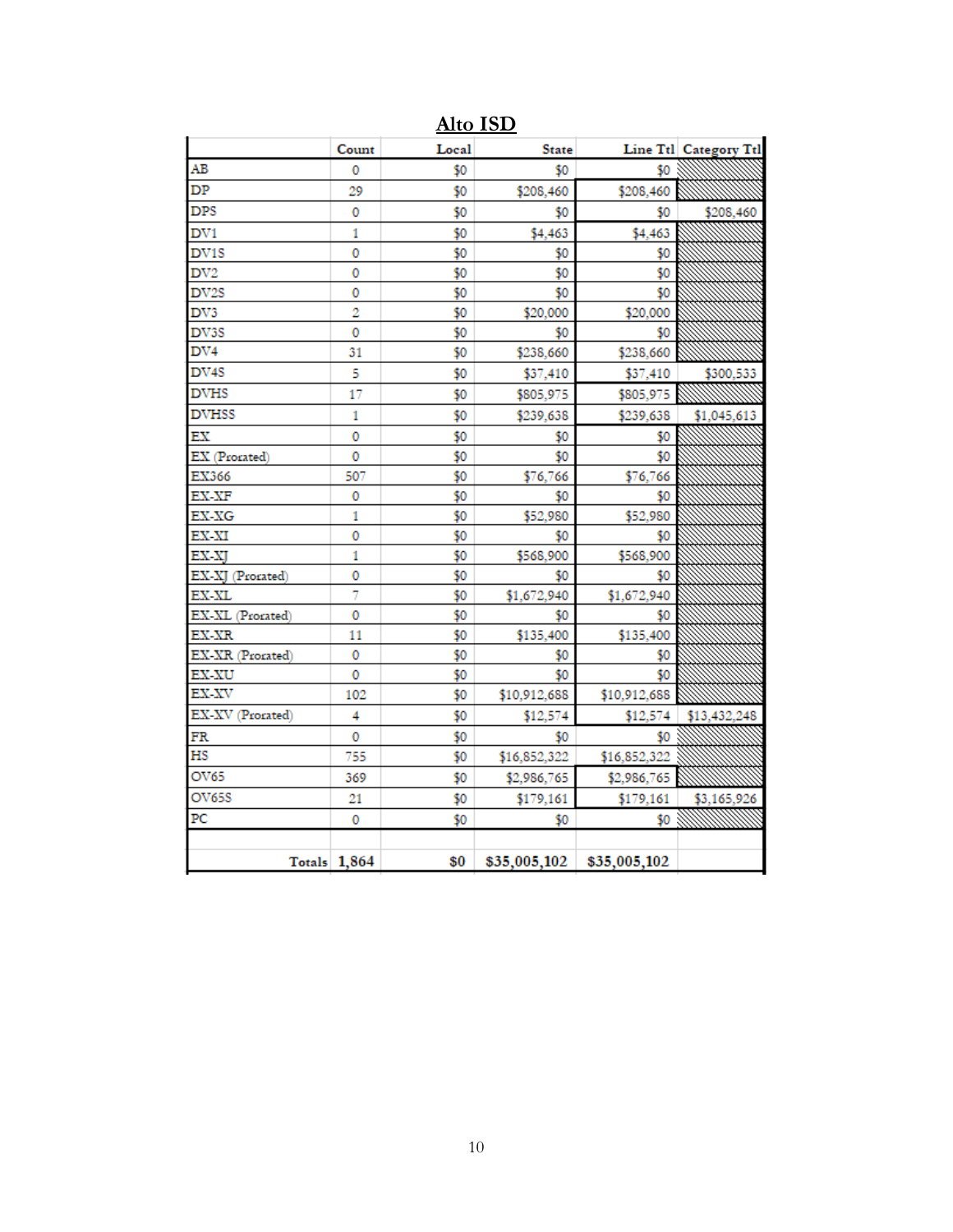|                   | Count        | Local | <b>State</b> |              | Line Ttl Category Ttl |
|-------------------|--------------|-------|--------------|--------------|-----------------------|
| AB                | o            | \$0   | \$0          | \$0          |                       |
| DP                | 29           | \$0   | \$208,460    | \$208,460    |                       |
| <b>DPS</b>        | 0            | \$0   | \$0          | \$0          | \$208,460             |
| DV1               | 1            | \$0   | \$4,463      | \$4,463      |                       |
| DV <sub>1</sub> S | 0            | \$0   | \$0          | \$0          |                       |
| $_{\rm DV2}$      | 0            | \$0   | \$0          | \$0          |                       |
| DV <sub>2</sub> S | 0            | \$0   | \$0          | \$0          |                       |
| DV3               | 2            | \$0   | \$20,000     | \$20,000     |                       |
| DV3S              | 0            | \$0   | \$0          | \$0          |                       |
| DV4               | 31           | \$0   | \$238,660    | \$238,660    |                       |
| DV4S              | 5            | \$0   | \$37,410     | \$37,410     | \$300,533             |
| <b>DVHS</b>       | 17           | \$0   | \$805,975    | \$805,975    |                       |
| <b>DVHSS</b>      | 1            | \$0   | \$239,638    | \$239,638    | \$1,045,613           |
| ЕX                | 0            | \$0   | \$0          | \$0          |                       |
| EX (Prorated)     | 0            | \$0   | \$0          | \$0          |                       |
| EX366             | 507          | \$0   | \$76,766     | \$76,766     |                       |
| EX-XF             | 0            | \$0   | \$0          | \$0          |                       |
| EX-XG             | 1            | \$0   | \$52,980     | \$52,980     |                       |
| EX-XI             | 0            | \$0   | \$0          | \$0          |                       |
| EX-XJ             | 1            | \$0   | \$568,900    | \$568,900    |                       |
| EX-XJ (Prorated)  | 0            | \$0   | \$0          | \$0          |                       |
| EX-XL             | 7            | \$0   | \$1,672,940  | \$1,672,940  |                       |
| EX-XL (Prorated)  | 0            | \$0   | \$0          | \$0          |                       |
| EX-XR             | 11           | \$0   | \$135,400    | \$135,400    |                       |
| EX-XR (Prorated)  | 0            | \$0   | \$0          | \$0          |                       |
| EX-XU             | 0            | \$0   | \$0          | \$0          |                       |
| EX-XV             | 102          | \$0   | \$10,912,688 | \$10,912,688 |                       |
| EX-XV (Prorated)  | 4            | \$0   | \$12,574     | \$12,574     | \$13,432,248          |
| FR                | 0            | \$0   | \$0          | \$0          |                       |
| HS                | 755          | \$0   | \$16,852,322 | \$16,852,322 |                       |
| OV65              | 369          | \$0   | \$2,986,765  | \$2,986,765  |                       |
| OV65S             | 21           | \$0   | \$179,161    | \$179,161    | \$3,165,926           |
| PC                | 0            | \$0   | \$0          | \$0          |                       |
|                   | Totals 1,864 | \$0   | \$35,005,102 | \$35,005,102 |                       |

**Alto ISD**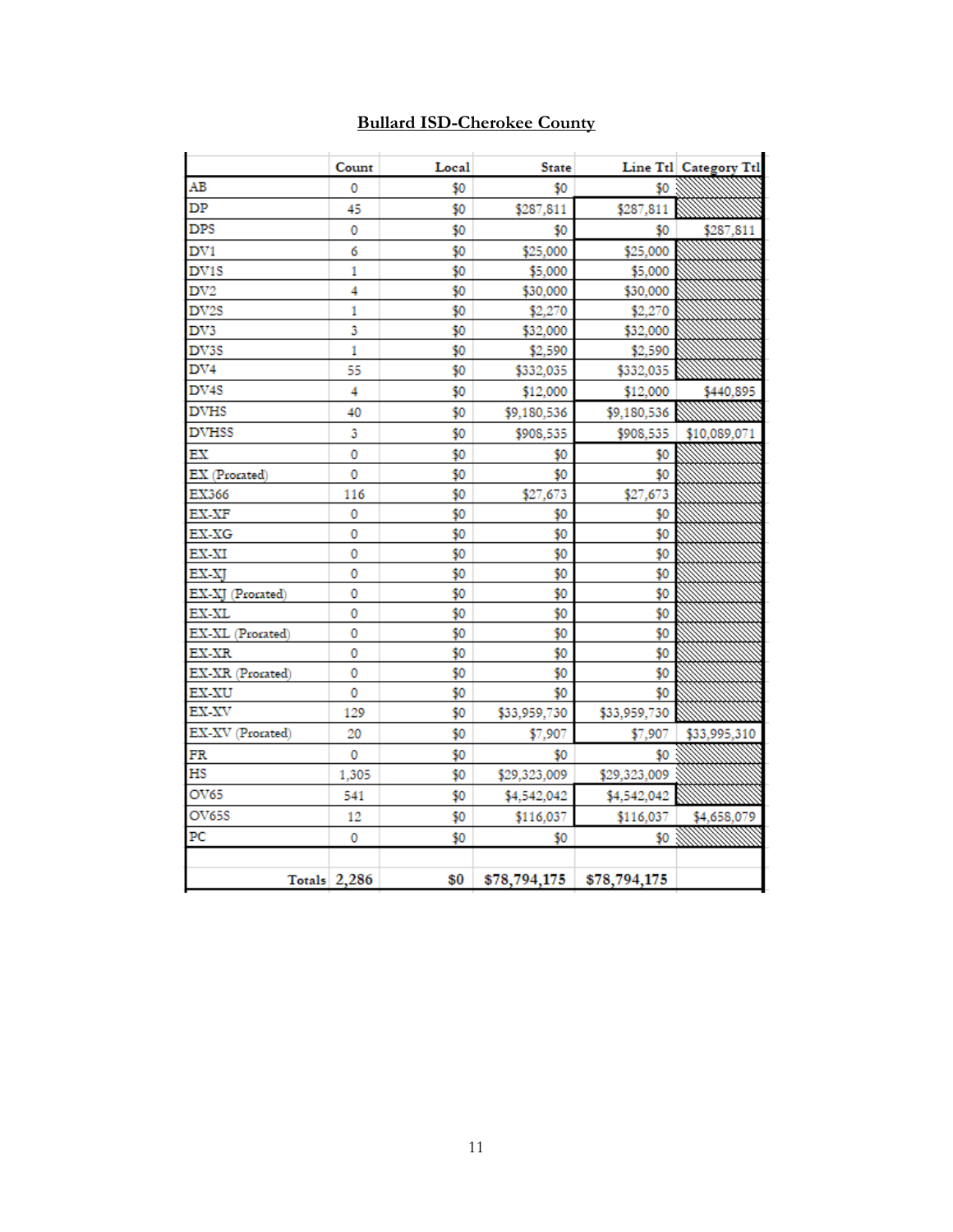#### **Bullard ISD-Cherokee County**

|                  | Count               | Local | <b>State</b> |              | Line Ttl Category Ttl |
|------------------|---------------------|-------|--------------|--------------|-----------------------|
| AВ               | 0                   | \$0   | \$0          | \$0          |                       |
| DP               | 45                  | \$0   | \$287,811    | \$287,811    |                       |
| DPS              | 0                   | \$0   | \$0          | \$0          | \$287,811             |
| DV1              | 6                   | \$0   | \$25,000     | \$25,000     |                       |
| DV1S             | 1                   | \$0   | \$5,000      | \$5,000      |                       |
| DV <sub>2</sub>  | 4                   | \$0   | \$30,000     | \$30,000     |                       |
| DV2S             | 1                   | \$0   | \$2,270      | \$2,270      |                       |
| DV3              | 3                   | \$0   | \$32,000     | \$32,000     |                       |
| DV3S             | 1                   | \$0   | \$2,590      | \$2,590      |                       |
| $_{\rm DV4}$     | 55                  | \$0   | \$332,035    | \$332,035    |                       |
| DV4S             | 4                   | \$0   | \$12,000     | \$12,000     | \$440,895             |
| <b>DVHS</b>      | 40                  | \$0   | \$9,180,536  | \$9,180,536  |                       |
| <b>DVHSS</b>     | 3                   | \$0   | \$908,535    | \$908,535    | \$10,089,071          |
| ЕX               | 0                   | \$0   | \$0          | \$0          |                       |
| EX (Prorated)    | 0                   | \$0   | \$0          | \$0          |                       |
| EX366            | 116                 | \$0   | \$27,673     | \$27,673     |                       |
| <b>EX-XF</b>     | 0                   | \$0   | \$0          | \$0          |                       |
| EX-XG            | 0                   | \$0   | \$0          | \$0          |                       |
| EX-XI            | 0                   | \$0   | \$0          | \$0          |                       |
| EX-XJ            | 0                   | \$0   | \$0          | \$0          |                       |
| EX-XJ (Prorated) | 0                   | \$0   | \$0          | \$0          |                       |
| EX-XL            | 0                   | \$0   | \$0          | \$0          |                       |
| EX-XL (Prorated) | 0                   | \$0   | \$0          | \$0          |                       |
| EX-XR            | 0                   | \$0   | \$0          | \$0          |                       |
| EX-XR (Prorated) | 0                   | \$0   | \$0          | \$0          |                       |
| <b>EX-XU</b>     | 0                   | \$0   | \$0          | \$0          |                       |
| EX-XV            | 129                 | \$0   | \$33,959,730 | \$33,959,730 |                       |
| EX-XV (Prorated) | 20                  | \$0   | \$7,907      | \$7,907      | \$33,995,310          |
| FR               | 0                   | \$0   | \$0          | \$0          |                       |
| НS               | 1,305               | \$0   | \$29,323,009 | \$29,323,009 |                       |
| OV65             | 541                 | \$0   | \$4,542,042  | \$4,542,042  |                       |
| <b>OV65S</b>     | 12                  | \$0   | \$116,037    | \$116,037    | \$4,658,079           |
| PC               | 0                   | \$0   | \$0          | \$0          |                       |
|                  |                     |       |              |              |                       |
|                  | <b>Totals</b> 2,286 | \$0   | \$78,794,175 | \$78,794,175 |                       |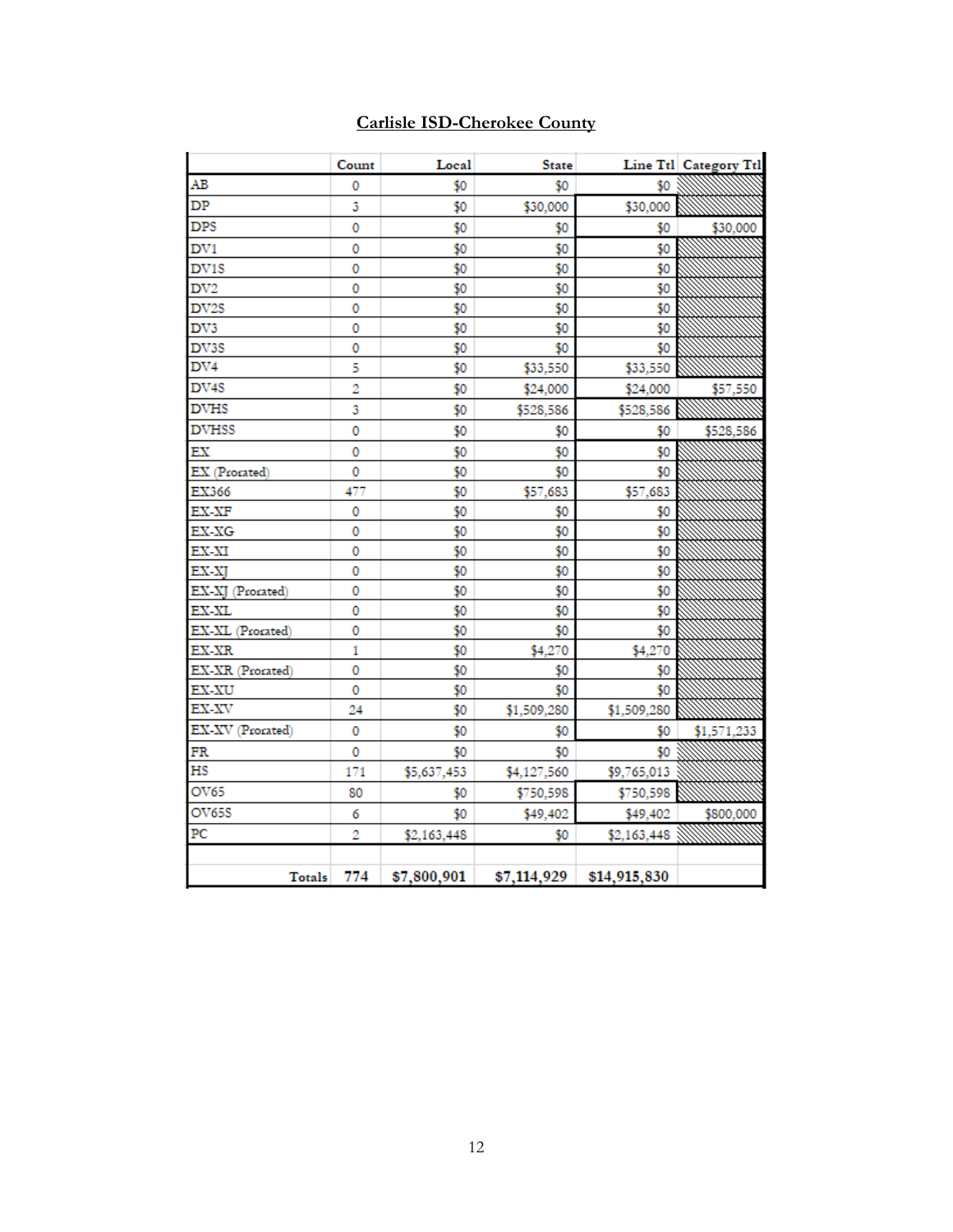|                            | Count | Local       | <b>State</b> |              | Line Ttl Category Ttl |
|----------------------------|-------|-------------|--------------|--------------|-----------------------|
| AB                         | 0     | \$0         | \$0          | \$0          |                       |
| DP                         | 3     | \$0         | \$30,000     | \$30,000     |                       |
| <b>DPS</b>                 | 0     | \$0         | \$0          | \$0          | \$30,000              |
| DV1                        | 0     | \$0         | \$0          | \$0          |                       |
| DV1S                       | 0     | \$0         | \$0          | \$0          |                       |
| DV <sub>2</sub>            | 0     | \$0         | \$0          | \$0          |                       |
| DV2S                       | 0     | \$0         | \$0          | \$0          |                       |
| DV3                        | 0     | \$0         | \$0          | \$0          |                       |
| DV3S                       | 0     | \$0         | \$0          | \$0          |                       |
| DV4                        | 5     | \$0         | \$33,550     | \$33,550     |                       |
| DV4S                       | 2     | \$0         | \$24,000     | \$24,000     | \$57,550              |
| <b>DVHS</b>                | 3     | \$0         | \$528,586    | \$528,586    |                       |
| <b>DVHSS</b>               | 0     | \$0         | \$0          | \$0          | \$528,586             |
| $\mathop{\rm EX}\nolimits$ | 0     | \$0         | \$0          | \$0          |                       |
| EX (Prorated)              | 0     | \$0         | \$0          | \$0          |                       |
| EX366                      | 477   | \$0         | \$57,683     | \$57,683     |                       |
| $EX-XF$                    | 0     | \$0         | \$0          | \$0          |                       |
| $EX-XG$                    | 0     | \$0         | \$0          | \$0          |                       |
| EX-XI                      | 0     | \$0         | \$0          | \$0          |                       |
| EX-XJ                      | 0     | \$0         | \$0          | \$0          |                       |
| EX-XJ (Prorated)           | 0     | \$0         | \$0          | \$0          |                       |
| EX-XL                      | 0     | \$0         | \$0          | \$0          |                       |
| EX-XL (Prorated)           | 0     | \$0         | \$0          | \$0          |                       |
| EX-XR                      | 1     | \$0         | \$4,270      | \$4,270      |                       |
| EX-XR (Prorated)           | 0     | \$0         | \$0          | \$0          |                       |
| $EX-XU$                    | 0     | \$0         | \$0          | \$0          |                       |
| EX-XV                      | 24    | \$0         | \$1,509,280  | \$1,509,280  |                       |
| EX-XV (Prorated)           | 0     | \$0         | \$0          | \$0          | \$1,571,233           |
| FR                         | 0     | \$0         | \$0          | \$0          |                       |
| HS                         | 171   | \$5,637,453 | \$4,127,560  | \$9,765,013  |                       |
| OV65                       | 80    | \$0         | \$750,598    | \$750,598    |                       |
| OV65S                      | 6     | \$0         | \$49,402     | \$49,402     | \$800,000             |
| $_{\rm PC}$                | 2     | \$2,163,448 | \$0          | \$2,163,448  |                       |
|                            |       |             |              |              |                       |
| Totals                     | 774   | \$7,800,901 | \$7,114,929  | \$14,915,830 |                       |

#### **Carlisle ISD-Cherokee County**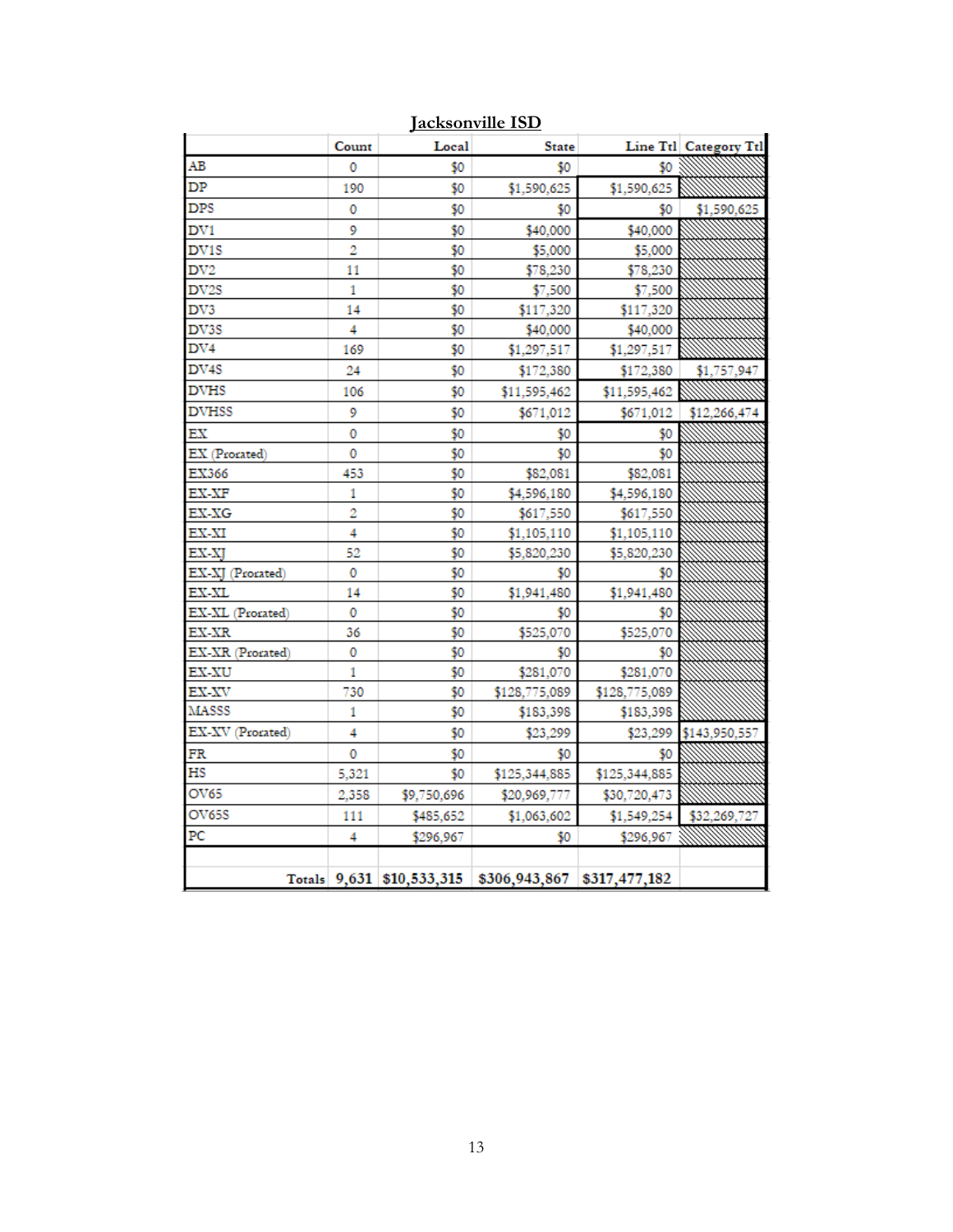|                   | Count | Local       | <b>State</b>                                          |               | Line Ttl Category Ttl |
|-------------------|-------|-------------|-------------------------------------------------------|---------------|-----------------------|
| AB                | 0     | \$0         | \$0                                                   | \$0           |                       |
| DP                | 190   | \$0         | \$1,590,625                                           | \$1,590,625   |                       |
| DPS               | 0     | \$0         | \$0                                                   | \$0           | \$1,590,625           |
| DV1               | 9     | \$0         | \$40,000                                              | \$40,000      |                       |
| DV <sub>1</sub> S | 2     | \$0         | \$5,000                                               | \$5,000       |                       |
| DV2               | 11    | \$0         | \$78,230                                              | \$78,230      |                       |
| DV2S              | 1     | \$0         | \$7,500                                               | \$7,500       |                       |
| DV3               | 14    | \$0         | \$117,320                                             | \$117,320     |                       |
| DV3S              | 4     | \$0         | \$40,000                                              | \$40,000      |                       |
| DV4               | 169   | \$0         | \$1,297,517                                           | \$1,297,517   |                       |
| DV <sub>4</sub> S | 24    | \$0         | \$172,380                                             | \$172,380     | \$1,757,947           |
| <b>DVHS</b>       | 106   | \$0         | \$11,595,462                                          | \$11,595,462  |                       |
| <b>DVHSS</b>      | 9     | \$0         | \$671,012                                             | \$671,012     | \$12,266,474          |
| ЕX                | 0     | \$0         | \$0                                                   | \$0           |                       |
| EX (Prorated)     | 0     | \$0         | \$0                                                   | \$0           |                       |
| EX366             | 453   | \$0         | \$82,081                                              | \$82,081      |                       |
| EX-XF             | 1     | \$0         | \$4,596,180                                           | \$4,596,180   |                       |
| EX-XG             | 2     | \$0         | \$617,550                                             | \$617,550     |                       |
| EX-XI             | 4     | \$0         | \$1,105,110                                           | \$1,105,110   |                       |
| EX-XI             | 52    | \$0         | \$5,820,230                                           | \$5,820,230   |                       |
| EX-XJ (Prorated)  | 0     | \$0         | \$0                                                   | \$0           |                       |
| EX-XL             | 14    | \$0         | \$1,941,480                                           | \$1,941,480   |                       |
| EX-XL (Prorated)  | 0     | \$0         | \$0                                                   | \$0           |                       |
| EX-XR             | 36    | \$0         | \$525,070                                             | \$525,070     |                       |
| EX-XR (Prorated)  | 0     | \$0         | \$0                                                   | \$0           |                       |
| EX-XU             | 1     | \$0         | \$281,070                                             | \$281,070     |                       |
| EX-XV             | 730   | \$0         | \$128,775,089                                         | \$128,775,089 |                       |
| MASSS             | 1     | \$0         | \$183,398                                             | \$183,398     |                       |
| EX-XV (Prorated)  | 4     | \$0         | \$23,299                                              | \$23,299      | \$143,950,557         |
| FR                | 0     | \$0         | \$0                                                   | \$0           |                       |
| НS                | 5,321 | \$0         | \$125,344,885                                         | \$125,344,885 |                       |
| OV65              | 2,358 | \$9,750,696 | \$20,969,777                                          | \$30,720,473  |                       |
| OV65S             | 111   | \$485,652   | \$1,063,602                                           | \$1,549,254   | \$32,269,727          |
| PC                | 4     | \$296,967   | \$0                                                   | \$296,967     |                       |
|                   |       |             |                                                       |               |                       |
|                   |       |             | Totals 9,631 \$10,533,315 \$306,943,867 \$317,477,182 |               |                       |

**Jacksonville ISD**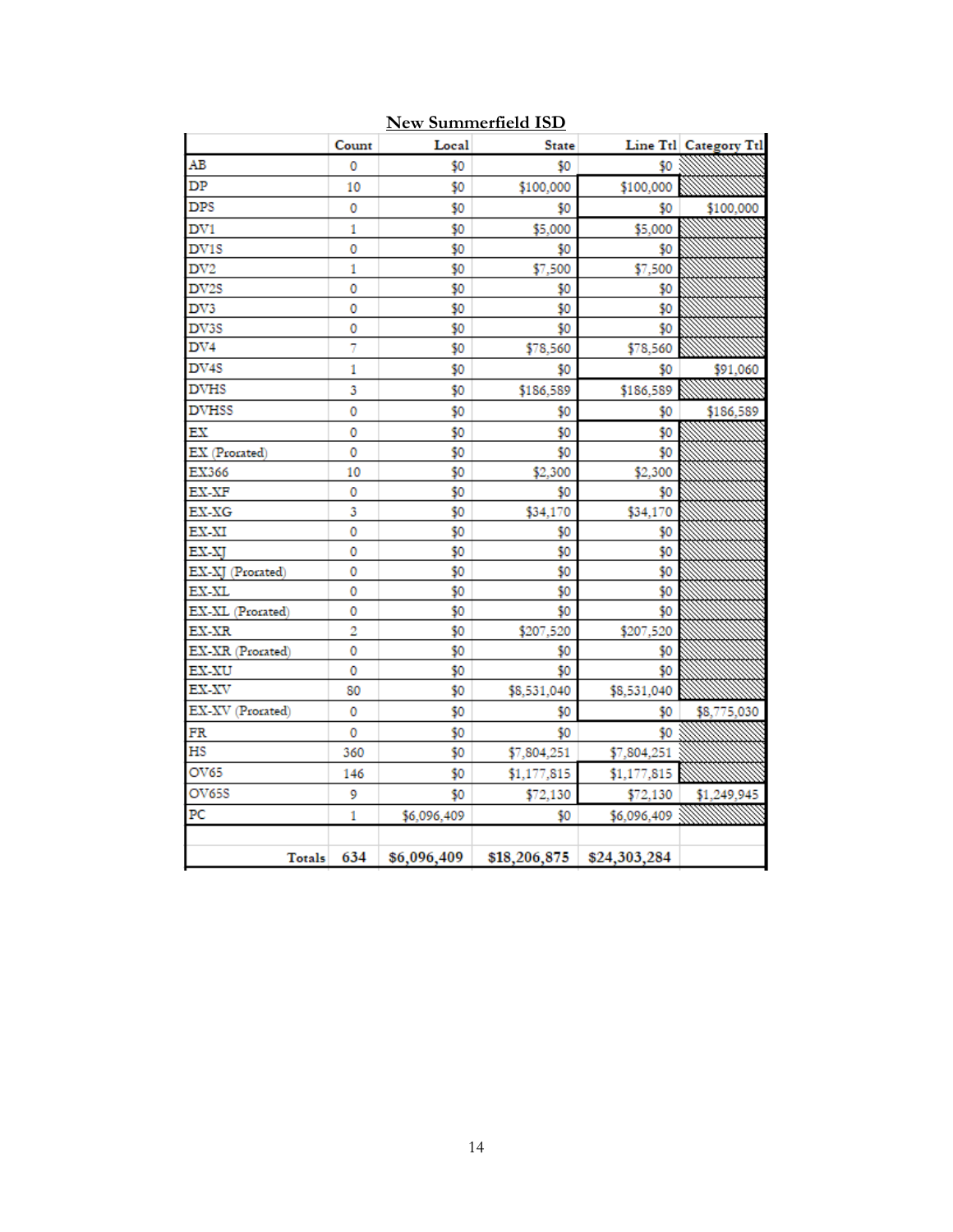|                  | Count | Local       | <b>State</b> |                             | Line Ttl Category Ttl |
|------------------|-------|-------------|--------------|-----------------------------|-----------------------|
| AB               | 0     | \$0         | \$0          | \$0                         |                       |
| DP               | 10    | \$0         | \$100,000    | \$100,000                   |                       |
| <b>DPS</b>       | 0     | \$0         | \$0          | \$0                         | \$100,000             |
| DV1              | 1     | \$0         | \$5,000      | \$5,000                     |                       |
| DV1S             | 0     | \$0         | \$0          | \$0                         |                       |
| DV2              | 1     | \$0         | \$7,500      | \$7,500                     |                       |
| DV2S             | 0     | \$0         | \$0          | \$0                         |                       |
| DV3              | 0     | \$0         | \$0          | \$0                         |                       |
| DV3S             | 0     | \$0         | \$0          | \$0                         |                       |
| DV4              | 7     | \$0         | \$78,560     | \$78,560                    |                       |
| DV4S             | 1     | \$0         | \$0          | \$0                         | \$91,060              |
| <b>DVHS</b>      | 3     | \$0         | \$186,589    | \$186,589                   |                       |
| <b>DVHSS</b>     | 0     | \$0         | \$0          | \$0                         | \$186,589             |
| EX               | 0     | \$0         | \$0          | \$0                         |                       |
| EX (Prorated)    | 0     | \$0         | \$0          | \$0                         |                       |
| EX366            | 10    | \$0         | \$2,300      | \$2,300                     |                       |
| EX-XF            | 0     | \$0         | \$0          | \$0                         |                       |
| EX-XG            | 3     | \$0         | \$34,170     | \$34,170                    |                       |
| EX-XI            | 0     | \$0         | \$0          | \$0                         |                       |
| EX-XJ            | 0     | \$0         | \$0          | \$0                         |                       |
| EX-XJ (Prorated) | 0     | \$0         | \$0          | \$0                         |                       |
| EX-XL            | 0     | \$0         | \$0          | \$0                         |                       |
| EX-XL (Prorated) | 0     | \$0         | \$0          | \$0                         |                       |
| EX-XR            | 2     | \$0         | \$207,520    | \$207,520                   |                       |
| EX-XR (Prorated) | 0     | \$0         | \$0          | \$0                         |                       |
| EX-XU            | 0     | \$0         | \$0          | \$0                         |                       |
| EX-XV            | 80    | \$0         | \$8,531,040  | \$8,531,040                 |                       |
| EX-XV (Prorated) | 0     | \$0         | \$0          | \$0                         | \$8,775,030           |
| FR               | 0     | \$0         | \$0          | \$0                         |                       |
| HS               | 360   | \$0         | \$7,804,251  | \$7,804,251                 |                       |
| OV65             | 146   | \$0         | \$1,177,815  | \$1,177,815                 |                       |
| OV65S            | 9     | \$0         | \$72,130     | \$72,130                    | \$1,249,945           |
| PC               | 1     | \$6,096,409 | \$0          | \$6,096,409                 |                       |
|                  |       |             |              |                             |                       |
| Totals           | 634   | \$6,096,409 |              | $$18,206,875$ $$24,303,284$ |                       |

#### **New Summerfield ISD**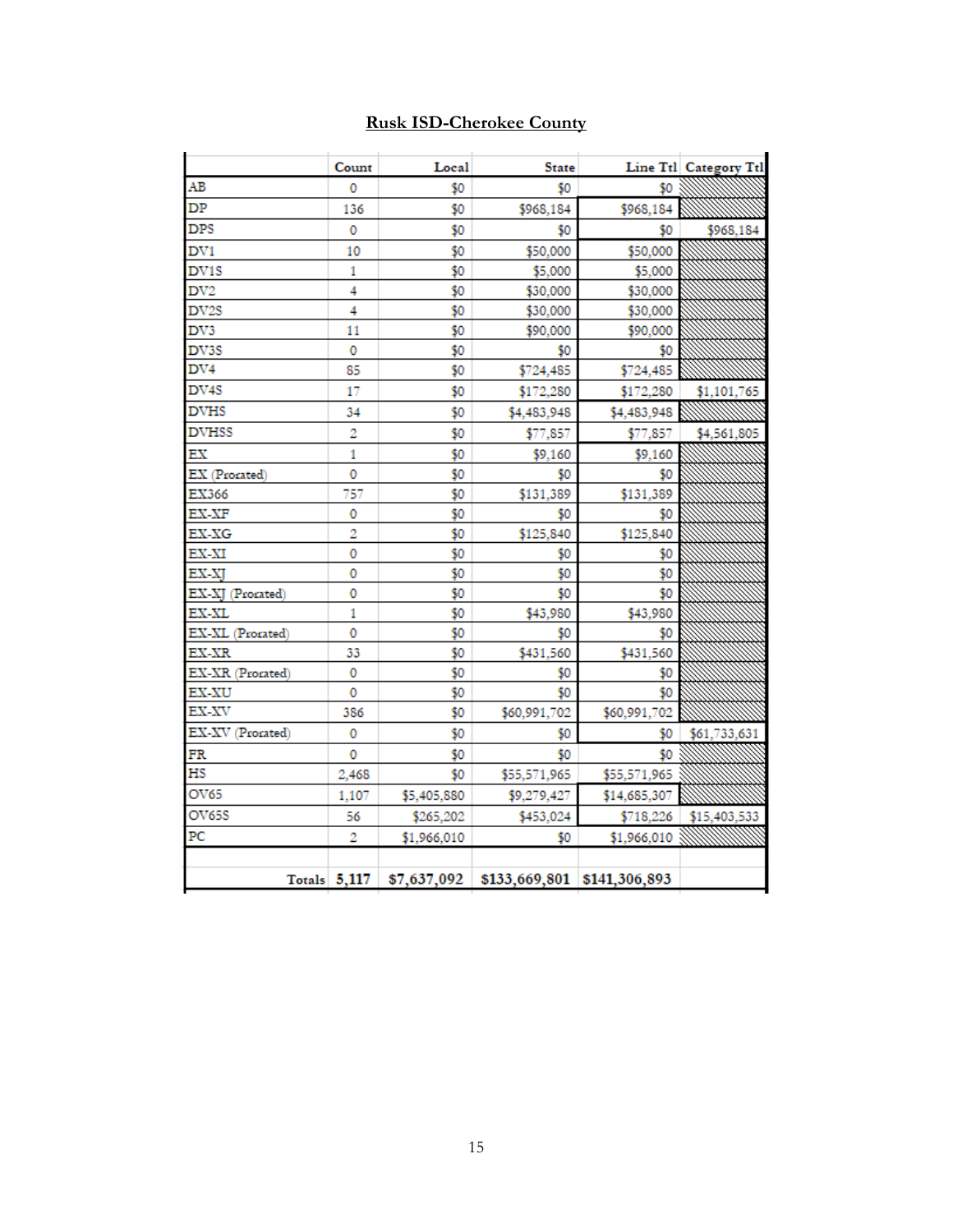#### **Rusk ISD-Cherokee County**

| AВ<br>DP<br><b>DPS</b><br>DV1<br>DV1S<br>$_{\rm DV2}$<br>DV2S<br>DV3<br>DV3S<br>$_{\rm DV4}$<br>DV4S<br><b>DVHS</b><br><b>DVHSS</b><br>ЕX<br>EX (Prorated)<br>EX366<br>EX-XF<br>EX-XG<br>EX-XI | 0<br>136<br>0<br>10<br>1<br>4<br>4<br>11 | \$0<br>\$0<br>\$0<br>\$0<br>\$0<br>\$0 | \$0<br>\$968,184<br>\$0<br>\$50,000<br>\$5,000 | \$0<br>\$968,184<br>\$0<br>\$50,000 | \$968,184    |
|------------------------------------------------------------------------------------------------------------------------------------------------------------------------------------------------|------------------------------------------|----------------------------------------|------------------------------------------------|-------------------------------------|--------------|
|                                                                                                                                                                                                |                                          |                                        |                                                |                                     |              |
|                                                                                                                                                                                                |                                          |                                        |                                                |                                     |              |
|                                                                                                                                                                                                |                                          |                                        |                                                |                                     |              |
|                                                                                                                                                                                                |                                          |                                        |                                                |                                     |              |
|                                                                                                                                                                                                |                                          |                                        |                                                | \$5,000                             |              |
|                                                                                                                                                                                                |                                          |                                        | \$30,000                                       | \$30,000                            |              |
|                                                                                                                                                                                                |                                          | \$0                                    | \$30,000                                       | \$30,000                            |              |
|                                                                                                                                                                                                |                                          | \$0                                    | \$90,000                                       | \$90,000                            |              |
|                                                                                                                                                                                                | 0                                        | \$0                                    | \$0                                            | \$0                                 |              |
|                                                                                                                                                                                                | 85                                       | \$0                                    | \$724,485                                      | \$724,485                           |              |
|                                                                                                                                                                                                | 17                                       | \$0                                    | \$172,280                                      | \$172,280                           | \$1,101,765  |
|                                                                                                                                                                                                | 34                                       | \$0                                    | \$4,483,948                                    | \$4,483,948                         |              |
|                                                                                                                                                                                                | 2                                        | \$0                                    | \$77,857                                       | \$77,857                            | \$4,561,805  |
|                                                                                                                                                                                                | 1                                        | \$0                                    | \$9,160                                        | \$9,160                             |              |
|                                                                                                                                                                                                | 0                                        | \$0                                    | \$0                                            | \$0                                 |              |
|                                                                                                                                                                                                | 757                                      | \$0                                    | \$131,389                                      | \$131,389                           |              |
|                                                                                                                                                                                                | 0                                        | \$0                                    | \$0                                            | \$0                                 |              |
|                                                                                                                                                                                                | 2                                        | \$0                                    | \$125,840                                      | \$125,840                           |              |
|                                                                                                                                                                                                | 0                                        | \$0                                    | \$0                                            | \$0                                 |              |
| EX-XJ                                                                                                                                                                                          | 0                                        | \$0                                    | \$0                                            | \$0                                 |              |
| EX-XJ (Prorated)                                                                                                                                                                               | 0                                        | \$0                                    | \$0                                            | \$0                                 |              |
| EX-XL                                                                                                                                                                                          | 1                                        | \$0                                    | \$43,980                                       | \$43,980                            |              |
| EX-XL (Prorated)                                                                                                                                                                               | 0                                        | \$0                                    | \$0                                            | \$0                                 |              |
| EX-XR                                                                                                                                                                                          | 33                                       | \$0                                    | \$431,560                                      | \$431,560                           |              |
| EX-XR (Prorated)                                                                                                                                                                               | 0                                        | \$0                                    | \$0                                            | \$0                                 |              |
| EX-XU                                                                                                                                                                                          | 0                                        | \$0                                    | \$0                                            | \$0                                 |              |
| EX-XV                                                                                                                                                                                          | 386                                      | \$0                                    | \$60,991,702                                   | \$60,991,702                        |              |
| EX-XV (Prorated)                                                                                                                                                                               | 0                                        | \$0                                    | \$0                                            | \$0                                 | \$61,733,631 |
| FR                                                                                                                                                                                             | 0                                        | \$0                                    | \$0                                            | \$0                                 |              |
| НS                                                                                                                                                                                             | 2,468                                    | \$0                                    | \$55,571,965                                   | \$55,571,965                        |              |
| OV65                                                                                                                                                                                           | 1,107                                    | \$5,405,880                            | \$9,279,427                                    | \$14,685,307                        |              |
| OV65S                                                                                                                                                                                          | 56                                       | \$265,202                              | \$453,024                                      | \$718,226                           | \$15,403,533 |
| PC                                                                                                                                                                                             | 2                                        | \$1,966,010                            | \$0                                            | \$1,966,010                         |              |
| Totals $5,117$                                                                                                                                                                                 |                                          |                                        |                                                |                                     |              |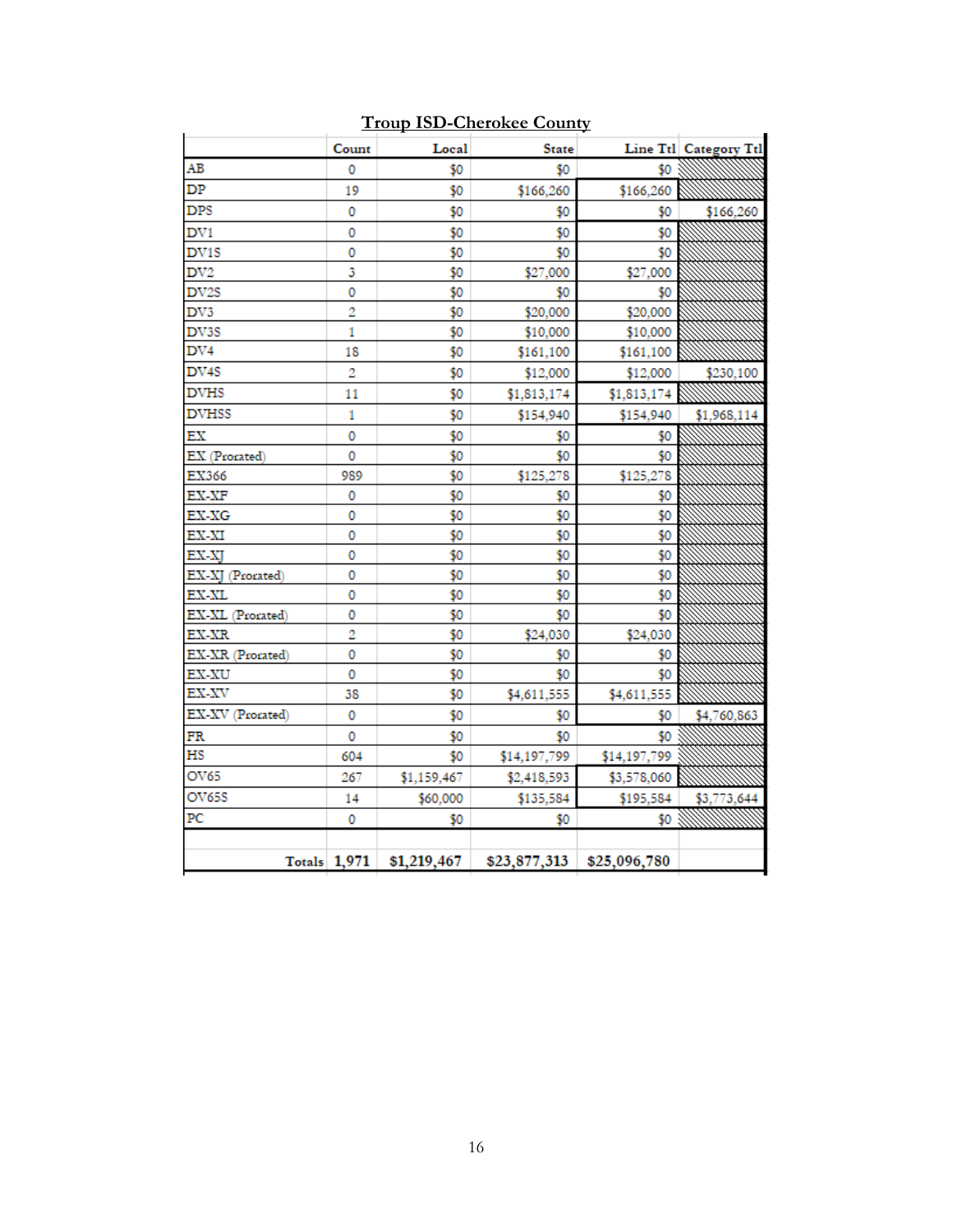|                   | Count               | Local       | <b>State</b> |              | Line Ttl Category Ttl |
|-------------------|---------------------|-------------|--------------|--------------|-----------------------|
| AВ                | 0                   | \$0         | \$0          | \$0          |                       |
| DP                | 19                  | \$0         | \$166,260    | \$166,260    |                       |
| <b>DPS</b>        | 0                   | \$0         | \$0          | \$0          | \$166,260             |
| DV1               | 0                   | \$0         | \$0          | \$0          |                       |
| DV1S              | 0                   | \$0         | \$0          | \$0          |                       |
| DV2               | 3                   | \$0         | \$27,000     | \$27,000     |                       |
| DV <sub>2</sub> S | 0                   | \$0         | \$0          | \$0          |                       |
| DV3               | 2                   | \$0         | \$20,000     | \$20,000     |                       |
| DV3S              | 1                   | \$0         | \$10,000     | \$10,000     |                       |
| DV4               | 18                  | \$0         | \$161,100    | \$161,100    |                       |
| DV4S              | 2                   | \$0         | \$12,000     | \$12,000     | \$230,100             |
| DVHS              | 11                  | \$0         | \$1,813,174  | \$1,813,174  |                       |
| <b>DVHSS</b>      | 1                   | \$0         | \$154,940    | \$154,940    | \$1,968,114           |
| EХ                | 0                   | \$0         | \$0          | \$0          |                       |
| EX (Prorated)     | 0                   | \$0         | \$0          | \$0          |                       |
| EX366             | 989                 | \$0         | \$125,278    | \$125,278    |                       |
| EX-XF             | 0                   | \$0         | \$0          | \$0          |                       |
| EX-XG             | 0                   | \$0         | \$0          | \$0          |                       |
| EX-XI             | 0                   | \$0         | \$0          | \$0          |                       |
| EX-XJ             | 0                   | \$0         | \$0          | \$0          |                       |
| EX-XJ (Prorated)  | 0                   | \$0         | \$0          | \$0          |                       |
| EX-XL             | 0                   | \$0         | \$0          | \$0          |                       |
| EX-XL (Prorated)  | 0                   | \$0         | \$0          | \$0          |                       |
| EX-XR             | 2                   | \$0         | \$24,030     | \$24,030     |                       |
| EX-XR (Prorated)  | 0                   | \$0         | \$0          | \$0          |                       |
| EX-XU             | 0                   | \$0         | \$0          | \$0          |                       |
| EX-XV             | 38                  | \$0         | \$4,611,555  | \$4,611,555  |                       |
| EX-XV (Prorated)  | 0                   | \$0         | \$0          | \$0          | \$4,760,863           |
| FR                | 0                   | \$0         | \$0          | \$0          |                       |
| HS                | 604                 | \$0         | \$14,197,799 | \$14,197,799 |                       |
| OV65              | 267                 | \$1,159,467 | \$2,418,593  | \$3,578,060  |                       |
| OV65S             | 14                  | \$60,000    | \$135,584    | \$195,584    | \$3,773,644           |
| PС                | 0                   | \$0         | \$0          | \$0          |                       |
|                   |                     |             |              |              |                       |
|                   | <b>Totals</b> 1,971 | \$1,219,467 | \$23,877,313 | \$25,096,780 |                       |

#### **Troup ISD-Cherokee County**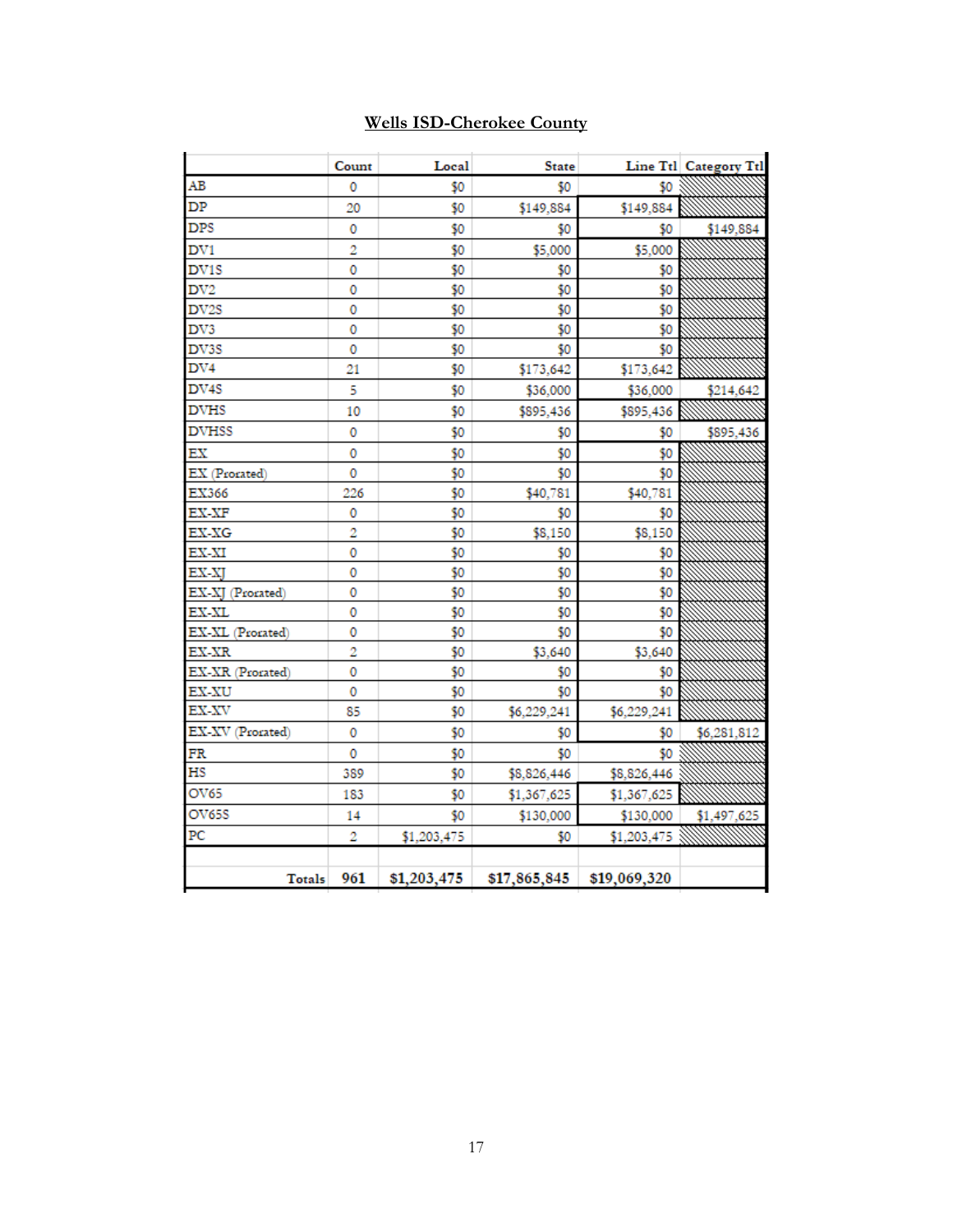| <b>Wells ISD-Cherokee County</b> |  |
|----------------------------------|--|
|                                  |  |

|                   | Count          | Local       | <b>State</b> |              | Line Ttl Category Ttl |
|-------------------|----------------|-------------|--------------|--------------|-----------------------|
| AВ                | 0              | \$0         | \$0          | \$0          |                       |
| DP                | 20             | \$0         | \$149,884    | \$149,884    |                       |
| <b>DPS</b>        | 0              | \$0         | \$0          | \$0          | \$149,884             |
| DV1               | 2              | \$0         | \$5,000      | \$5,000      |                       |
| DV1S              | 0              | \$0         | \$0          | \$0          |                       |
| DV2               | 0              | \$0         | \$0          | \$0          |                       |
| DV2S              | 0              | \$0         | \$0          | \$0          |                       |
| DV3               | 0              | \$0         | \$0          | \$0          |                       |
| DV3S              | 0              | \$0         | \$0          | \$0          |                       |
| DV4               | 21             | \$0         | \$173,642    | \$173,642    |                       |
| DV <sub>4</sub> S | 5              | \$0         | \$36,000     | \$36,000     | \$214,642             |
| DVHS              | 10             | \$0         | \$895,436    | \$895,436    |                       |
| <b>DVHSS</b>      | 0              | \$0         | \$0          | \$0          | \$895,436             |
| ЕX                | 0              | \$0         | \$0          | \$0          |                       |
| EX (Prorated)     | 0              | \$0         | \$0          | \$0          |                       |
| EX366             | 226            | \$0         | \$40,781     | \$40,781     |                       |
| EX-XF             | 0              | \$0         | \$0          | \$0          |                       |
| EX-XG             | 2              | \$0         | \$8,150      | \$8,150      |                       |
| EX-XI             | 0              | \$0         | \$0          | \$0          |                       |
| EX-XI             | 0              | \$0         | \$0          | \$0          |                       |
| EX-XJ (Prorated)  | 0              | \$0         | \$0          | \$0          |                       |
| EX-XL             | 0              | \$0         | \$0          | \$0          |                       |
| EX-XL (Prorated)  | 0              | \$0         | \$0          | \$0          |                       |
| EX-XR             | $\overline{2}$ | \$0         | \$3,640      | \$3,640      |                       |
| EX-XR (Prorated)  | 0              | \$0         | \$0          | \$0          |                       |
| EX-XU             | 0              | \$0         | \$0          | \$0          |                       |
| EX-XV             | 85.            | \$0         | \$6,229,241  | \$6,229,241  |                       |
| EX-XV (Prorated)  | 0              | \$0         | \$0          | \$0          | \$6,281,812           |
| FR                | 0              | \$0         | \$0          | \$0          |                       |
| HS                | 389            | \$0         | \$8,826,446  | \$8,826,446  |                       |
| OV65              | 183            | \$0         | \$1,367,625  | \$1,367,625  |                       |
| OV65S             | 14             | \$0         | \$130,000    | \$130,000    | \$1,497,625           |
| PC                | 2              | \$1,203,475 | \$0          | \$1,203,475  |                       |
| Totals            | 961            | \$1,203,475 | \$17,865,845 | \$19,069,320 |                       |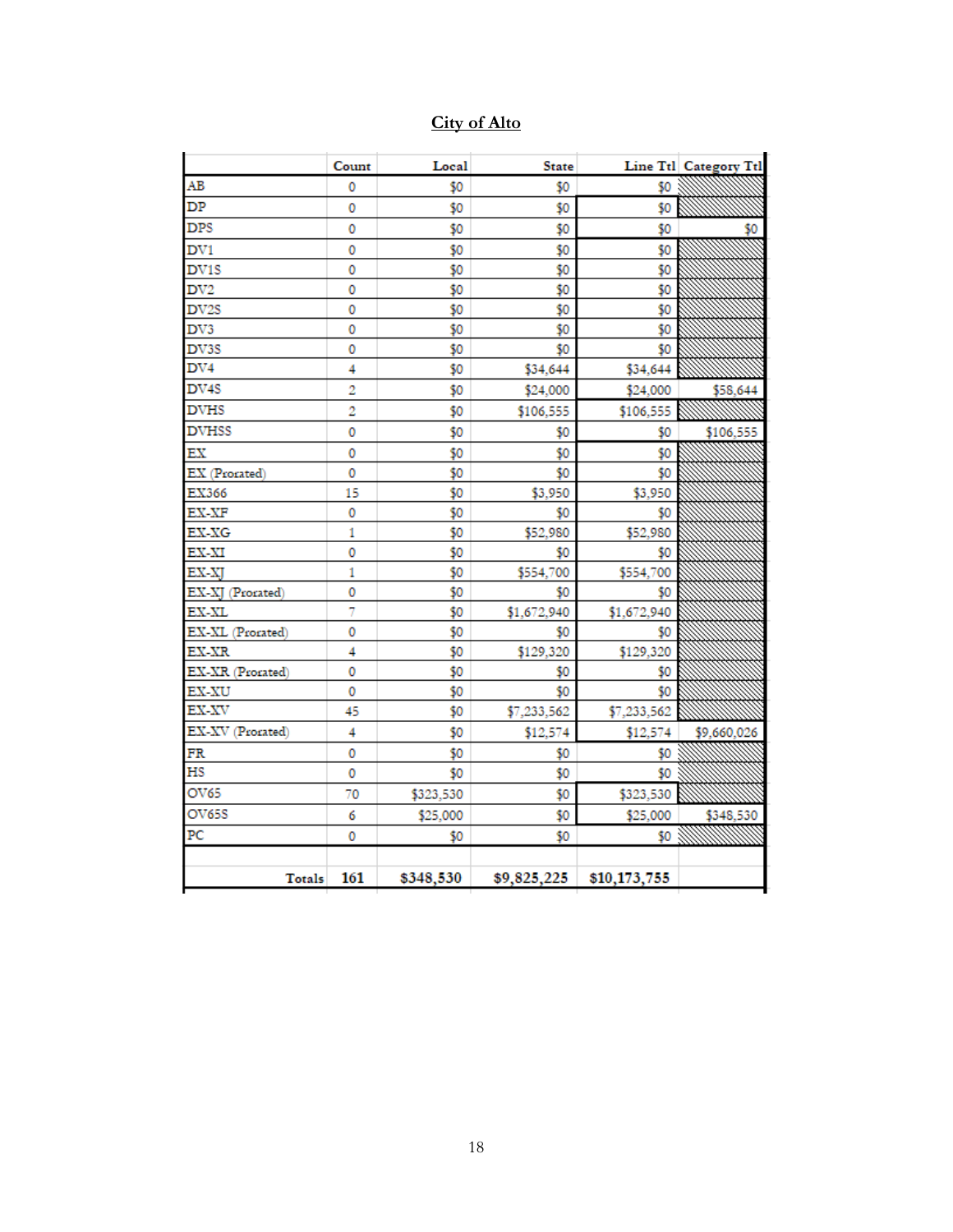|  | City of Alto |
|--|--------------|
|  |              |

|                  | Count | Local     | <b>State</b> |              | Line Ttl Category Ttl |
|------------------|-------|-----------|--------------|--------------|-----------------------|
| AB               | 0     | \$0       | \$0          | \$0          |                       |
| DP               | 0     | \$0       | \$0          | \$0          |                       |
| <b>DPS</b>       | 0     | \$0       | \$0          | \$0          | \$0                   |
| DV1              | 0     | \$0       | \$0          | \$0          |                       |
| DV1S             | 0     | \$0       | \$0          | \$0          |                       |
| DV2              | 0     | \$0       | \$0          | \$0          |                       |
| DV2S             | 0     | \$0       | \$0          | \$0          |                       |
| DV3              | 0     | \$0       | \$0          | \$0          |                       |
| DV3S             | 0     | \$0       | \$0          | \$0          |                       |
| DV4              | 4     | \$0       | \$34,644     | \$34,644     |                       |
| DV4S             | 2     | \$0       | \$24,000     | \$24,000     | \$58,644              |
| DVHS             | 2     | \$0       | \$106,555    | \$106,555    |                       |
| <b>DVHSS</b>     | 0     | \$0       | \$0          | \$0          | \$106,555             |
| ЕX               | 0     | \$0       | \$0          | \$0          |                       |
| EX (Prorated)    | 0     | \$0       | \$0          | \$0          |                       |
| EX366            | 15    | \$0       | \$3,950      | \$3,950      |                       |
| $EX-XF$          | 0     | \$0       | \$0          | \$0          |                       |
| EX-XG            | 1     | \$0       | \$52,980     | \$52,980     |                       |
| EX-XI            | 0     | \$0       | \$0          | \$0          |                       |
| EX-XJ            | 1     | \$0       | \$554,700    | \$554,700    |                       |
| EX-XJ (Prorated) | 0     | \$0       | \$0          | \$0          |                       |
| EX-XL            | 7     | \$0       | \$1,672,940  | \$1,672,940  |                       |
| EX-XL (Prorated) | 0     | \$0       | \$0          | \$0          |                       |
| EX-XR            | 4     | \$0       | \$129,320    | \$129,320    |                       |
| EX-XR (Prorated) | 0     | \$0       | \$0          | \$0          |                       |
| <b>EX-XU</b>     | 0     | \$0       | \$0          | \$0          |                       |
| EX-XV            | 45    | \$0       | \$7,233,562  | \$7,233,562  |                       |
| EX-XV (Prorated) | 4     | \$0       | \$12,574     | \$12,574     | \$9,660,026           |
| FR               | 0     | \$0       | \$0          | \$0          |                       |
| НS               | 0     | \$0       | \$0          | \$0          |                       |
| OV65             | 70    | \$323,530 | \$0          | \$323,530    |                       |
| OV65S            | 6     | \$25,000  | \$0          | \$25,000     | \$348,530             |
| PС               | 0     | \$0       | \$0          | \$0          |                       |
| Totals           | 161   | \$348,530 | \$9,825,225  | \$10,173,755 |                       |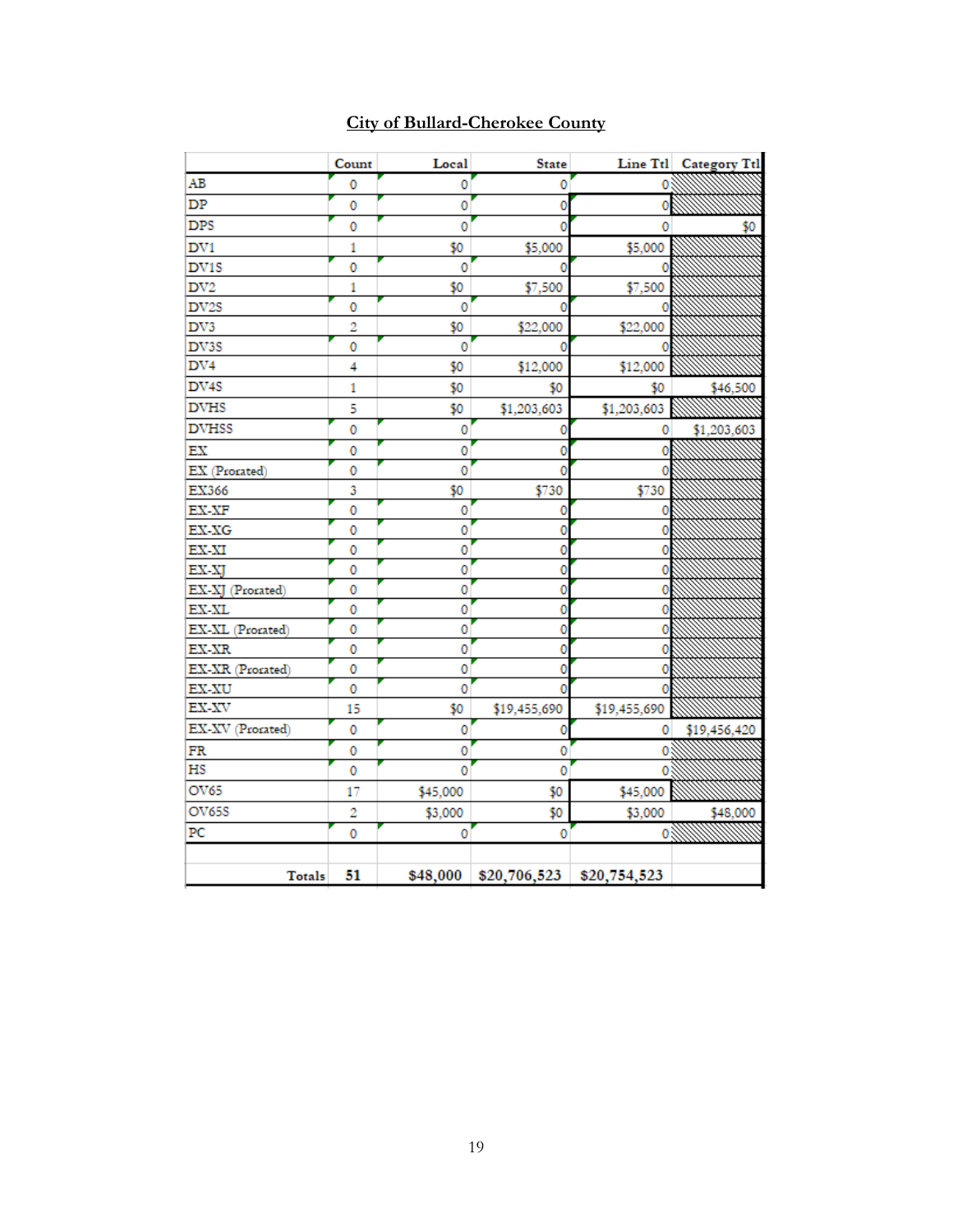|                  | Count | Local    | <b>State</b>                          |              | Line Ttl Category Ttl                 |
|------------------|-------|----------|---------------------------------------|--------------|---------------------------------------|
| AB               | 0     | 0        | 0                                     | ٥            |                                       |
| DP               | 0     | 0        | ٥                                     | 0            |                                       |
| <b>DPS</b>       | 0     | 0        | ٥                                     | 0            | 50                                    |
| DV1              | 1     | \$0      | \$5,000                               | \$5,000      |                                       |
| DV1S             | 0     | 0        | o                                     |              |                                       |
| DV <sub>2</sub>  | 1     | \$0      | \$7,500                               | \$7,500      |                                       |
| DV2S             | 0     | 0        |                                       |              |                                       |
| DV3              | 2     | \$0      | \$22,000                              | \$22,000     |                                       |
| DV3S             | 0     | 0        |                                       |              |                                       |
| DV4              | 4     | \$0      | \$12,000                              | \$12,000     |                                       |
| DV4S             | 1     | \$0      | \$0                                   | \$0          | \$46,500                              |
| <b>DVHS</b>      | 5     | \$0      | \$1,203,603                           | \$1,203,603  |                                       |
| <b>DVHSS</b>     | 0     | 0        | ٥                                     | 0            | \$1,203,603                           |
| EX               | 0     | 0        | 0                                     |              |                                       |
| EX (Prorated)    | 0     | 0        | Ō                                     |              |                                       |
| EX366            | 3     | \$0      | \$730                                 | \$730        |                                       |
| EX-XF            | 0     | 0        | ٥                                     |              |                                       |
| EX-XG            | 0     | 0        | 0                                     |              |                                       |
| EX-XI            | 0     | 0        | 0                                     |              |                                       |
| EX-XJ            | 0     | 0        | 0                                     | 0            |                                       |
| EX-XJ (Prorated) | 0     | 0        | 0                                     | 0            |                                       |
| EX-XL            | 0     | 0        | ٥                                     | ٥            |                                       |
| EX-XL (Prorated) | 0     | 0        | Ō                                     | 0            |                                       |
| EX-XR            | 0     | 0        | Ō                                     | ٥            |                                       |
| EX-XR (Prorated) | 0     | 0        | Ō                                     |              |                                       |
| EX-XU            | 0     | 0        | o                                     |              |                                       |
| EX-XV            | 15    | \$0      | \$19,455,690                          | \$19,455,690 |                                       |
| EX-XV (Prorated) | 0     | 0        |                                       | 0            | \$19,456,420                          |
| FR               | 0     | 0        | 0                                     | ٥            |                                       |
| НS               | 0     | Ō        | ٥                                     |              |                                       |
| OV65             | 17    | \$45,000 | \$0                                   | \$45,000     |                                       |
| OV65S            | 2     | \$3,000  | \$0                                   | \$3,000      | \$48,000                              |
| PС               | 0     | 0        | 0                                     |              | <b><i><i><b>O WINTERS</b></i></i></b> |
|                  |       |          |                                       |              |                                       |
| <b>Totals</b>    | 51    |          | $$48,000$ $$20,706,523$ $$20,754,523$ |              |                                       |

## **City of Bullard-Cherokee County**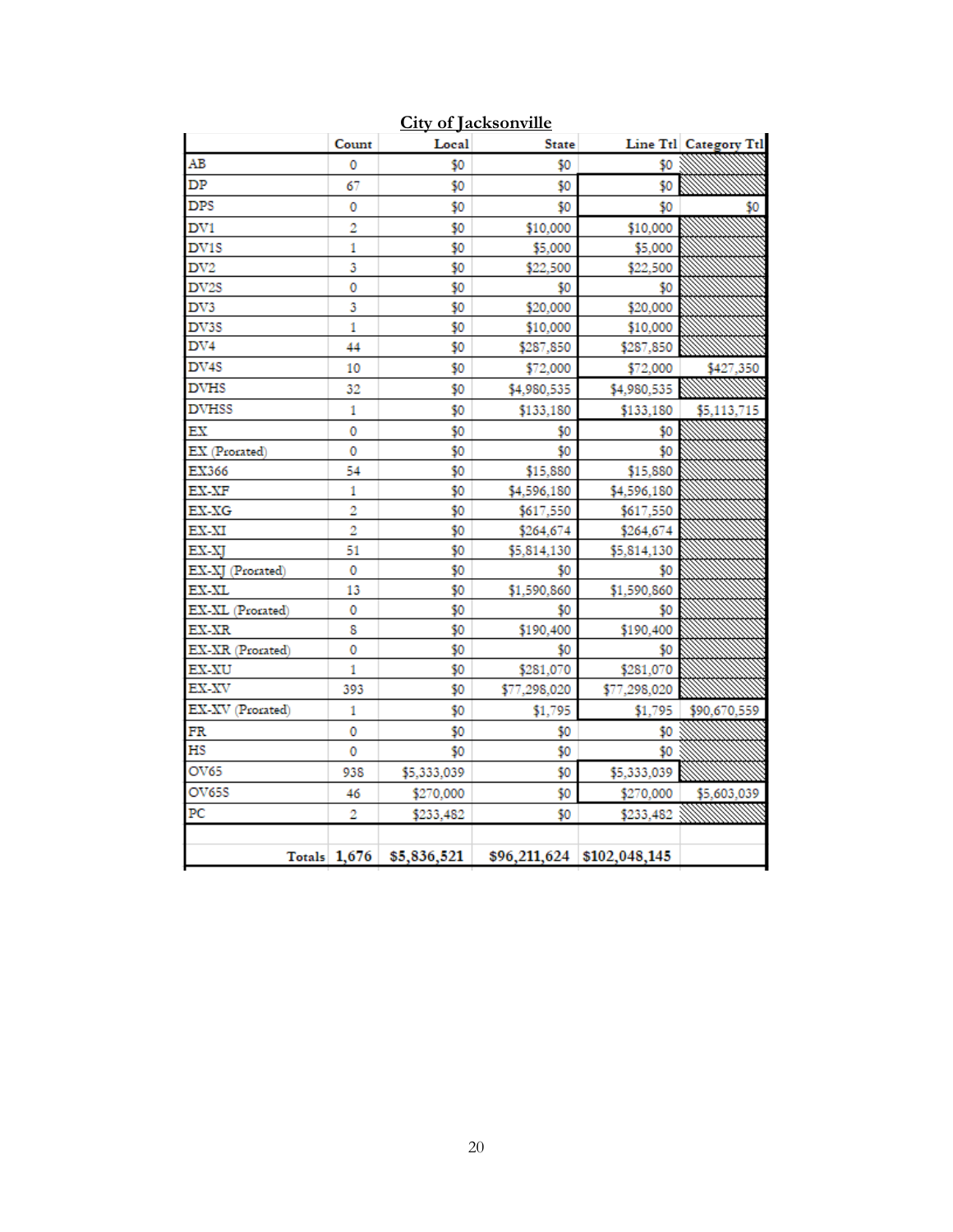|                   | Count          | Local       | <b>State</b> |                             | Line Ttl Category Ttl |
|-------------------|----------------|-------------|--------------|-----------------------------|-----------------------|
| AВ                | 0              | \$0         | \$0          | \$0                         |                       |
| DP                | 67             | \$0         | \$0          | \$0                         |                       |
| DPS               | 0              | \$0         | \$0          | \$0                         | \$0                   |
| DV1               | 2              | \$0         | \$10,000     | \$10,000                    |                       |
| DV1S              | 1              | \$0         | \$5,000      | \$5,000                     |                       |
| DV <sub>2</sub>   | 3              | \$0         | \$22,500     | \$22,500                    |                       |
| DV <sub>2</sub> S | 0              | \$0         | \$0          | \$0                         |                       |
| DV3               | 3              | \$0         | \$20,000     | \$20,000                    |                       |
| DV3S              | 1              | \$0         | \$10,000     | \$10,000                    |                       |
| DV4               | 44             | \$0         | \$287,850    | \$287,850                   |                       |
| DV4S              | 10             | \$0         | \$72,000     | \$72,000                    | \$427,350             |
| DVHS              | 32             | \$0         | \$4,980,535  | \$4,980,535                 |                       |
| <b>DVHSS</b>      | 1              | \$0         | \$133,180    | \$133,180                   | \$5,113,715           |
| ЕX                | 0              | \$0         | \$0          | \$0                         |                       |
| EX (Prorated)     | 0              | \$0         | \$0          | \$0                         |                       |
| EX366             | 54             | \$0         | \$15,880     | \$15,880                    |                       |
| EX-XF             | 1              | \$0         | \$4,596,180  | \$4,596,180                 |                       |
| EX-XG             | 2              | \$0         | \$617,550    | \$617,550                   |                       |
| EX-XI             | 2              | \$0         | \$264,674    | \$264,674                   |                       |
| EX-XJ             | 51             | \$0         | \$5,814,130  | \$5,814,130                 |                       |
| EX-XJ (Prorated)  | 0              | \$0         | \$0          | \$0                         |                       |
| EX-XL             | 13             | \$0         | \$1,590,860  | \$1,590,860                 |                       |
| EX-XL (Prorated)  | 0              | \$0         | \$0          | \$0                         |                       |
| EX-XR             | 8              | \$0         | \$190,400    | \$190,400                   |                       |
| EX-XR (Prorated)  | 0              | \$0         | \$0          | \$0                         |                       |
| EX-XU             | 1              | \$0         | \$281,070    | \$281,070                   |                       |
| EX-XV             | 393            | \$0         | \$77,298,020 | \$77,298,020                |                       |
| EX-XV (Prorated)  | 1              | \$0         | \$1,795      | \$1,795                     | \$90,670,559          |
| FR                | 0              | \$0         | \$0          | \$0                         |                       |
| HS                | 0              | \$0         | \$0          | \$0                         |                       |
| OV65              | 938            | \$5,333,039 | \$0          | \$5,333,039                 |                       |
| OV65S             | 46             | \$270,000   | \$0          | \$270,000                   | \$5,603,039           |
| PС                | 2              | \$233,482   | \$0          | \$233,482                   |                       |
|                   |                |             |              |                             |                       |
|                   | Totals $1,676$ | \$5,836,521 |              | $$96,211,624$ \$102,048,145 |                       |

**City of Jacksonville**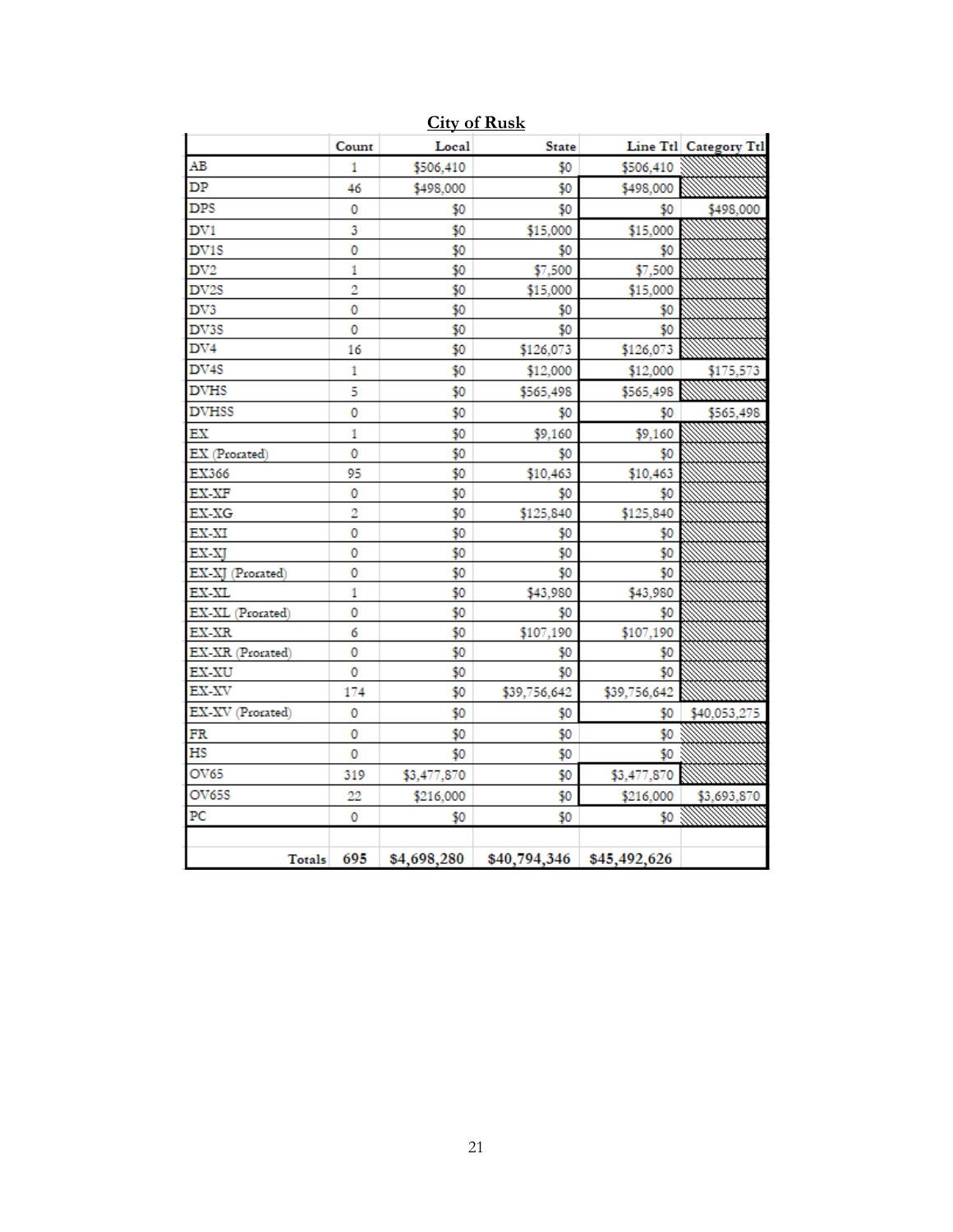|                   | Count        | Local       | <b>State</b> |                           | Line Ttl Category Ttl |
|-------------------|--------------|-------------|--------------|---------------------------|-----------------------|
| AB                | 1            | \$506,410   | \$0          | \$506,410                 |                       |
| DP                | 46           | \$498,000   | \$0          | \$498,000                 |                       |
| DPS               | 0            | \$0         | \$0          | \$0                       | \$498,000             |
| DV1               | 3            | \$0         | \$15,000     | \$15,000                  |                       |
| DV <sub>1</sub> S | 0            | \$0         | \$0          | \$0                       |                       |
| DV2               | 1            | \$0         | \$7,500      | \$7,500                   |                       |
| DV <sub>2</sub> S | 2            | \$0         | \$15,000     | \$15,000                  |                       |
| DV3               | 0            | \$0         | \$0          | \$0                       |                       |
| DV3S              | 0            | \$0         | \$0          | \$0                       |                       |
| DV4               | 16           | \$0         | \$126,073    | \$126,073                 |                       |
| DV <sub>4</sub> S | 1            | \$0         | \$12,000     | \$12,000                  | \$175,573             |
| <b>DVHS</b>       | 5            | \$0         | \$565,498    | \$565,498                 |                       |
| <b>DVHSS</b>      | 0            | \$0         | \$0          | \$0                       | \$565,498             |
| ЕX                | 1            | \$0         | \$9,160      | \$9,160                   |                       |
| EX (Prorated)     | 0            | \$0         | \$0          | \$0                       |                       |
| EX366             | 95           | \$0         | \$10,463     | \$10,463                  |                       |
| EX-XF             | 0            | \$0         | \$0          | \$0                       |                       |
| EX-XG             | 2            | \$0         | \$125,840    | \$125,840                 |                       |
| EX-XI             | 0            | \$0         | \$0          | \$0                       |                       |
| EX-XJ             | 0            | \$0         | \$0          | \$0                       |                       |
| EX-XJ (Prorated)  | 0            | \$0         | \$0          | \$0                       |                       |
| EX-XL             | $\mathbf{1}$ | \$0         | \$43,980     | \$43,980                  |                       |
| EX-XL (Prorated)  | 0            | \$0         | \$0          | \$0                       |                       |
| EX-XR             | 6            | \$0         | \$107,190    | \$107,190                 |                       |
| EX-XR (Prorated)  | 0            | \$0         | \$0          | \$0                       |                       |
| EX-XU             | 0            | \$0         | \$0          | \$0                       |                       |
| EX-XV             | 174          | \$0         | \$39,756,642 | \$39,756,642              |                       |
| EX-XV (Prorated)  | 0            | \$0         | \$0          | \$0                       | \$40,053,275          |
| FR                | 0            | \$0         | \$0          | \$0                       |                       |
| НS                | 0            | \$0         | \$0          | \$0                       |                       |
| OV65              | 319          | \$3,477,870 | \$0          | \$3,477,870               |                       |
| OV65S             | 22           | \$216,000   | \$0          | \$216,000                 | \$3,693,870           |
| PC                | 0            | \$0         | \$0          | \$0                       |                       |
|                   |              |             |              |                           |                       |
| Totals            | 695          | \$4,698,280 |              | \$40,794,346 \$45,492,626 |                       |

**City of Rusk**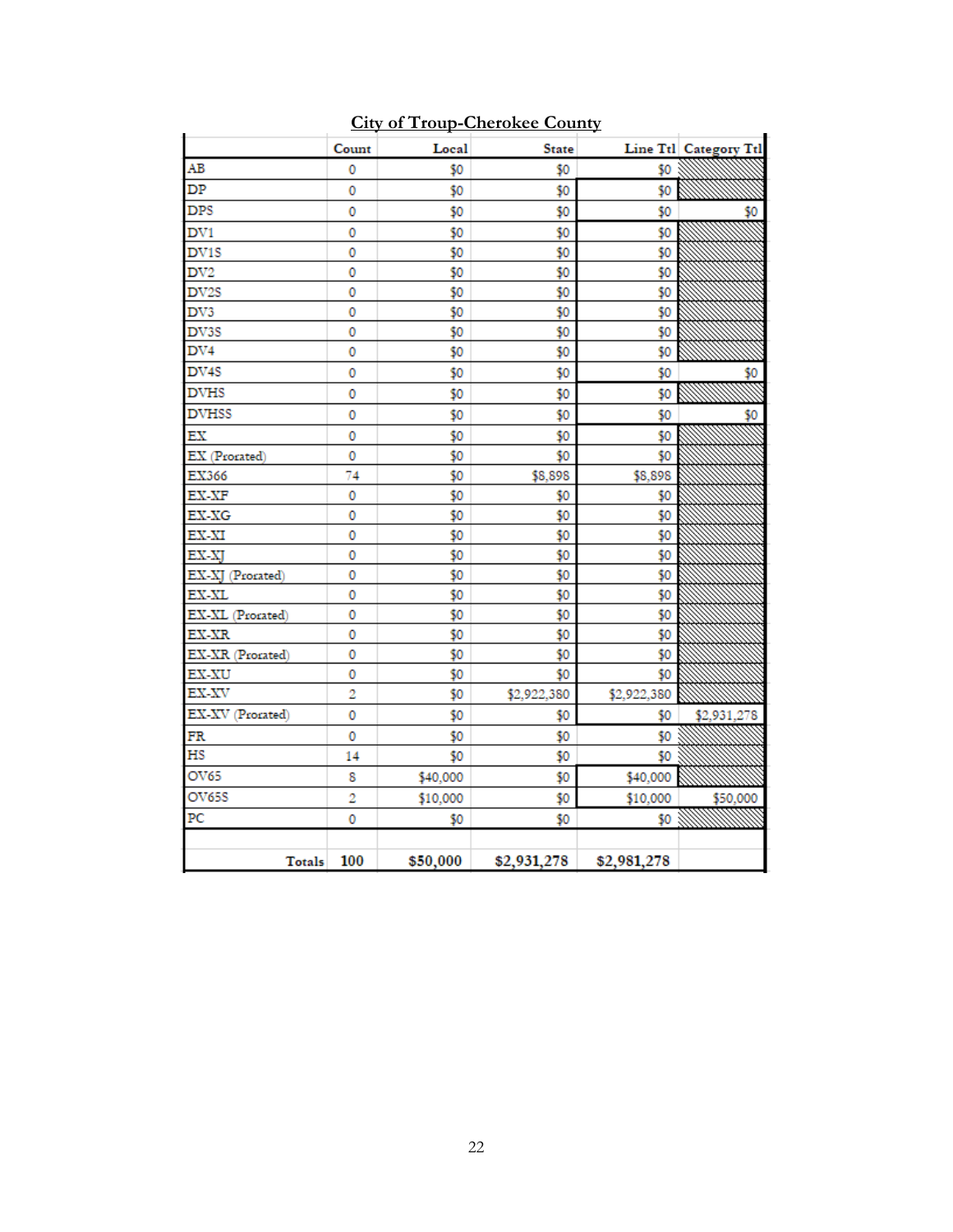|                  | Count | Local    | <b>State</b> |             | Line Ttl Category Ttl |
|------------------|-------|----------|--------------|-------------|-----------------------|
| AB               | 0     | \$0      | \$0          | \$0         |                       |
| DP               | 0     | \$0      | \$0          | \$0         |                       |
| <b>DPS</b>       | 0     | \$0      | \$0          | \$0         | \$0                   |
| DV1              | 0     | \$0      | \$0          | \$0         |                       |
| DV1S             | 0     | \$0      | \$0          | \$0         |                       |
| DV <sub>2</sub>  | 0     | \$0      | \$0          | \$0         |                       |
| DV2S             | 0     | \$0      | \$0          | \$0         |                       |
| DV3              | 0     | \$0      | \$0          | \$0         |                       |
| DV3S             | 0     | \$0      | \$0          | \$0         |                       |
| DV <sub>4</sub>  | 0     | \$0      | \$0          | \$0         |                       |
| DV4S             | 0     | \$0      | \$0          | \$0         | \$0                   |
| <b>DVHS</b>      | 0     | \$0      | \$0          | \$0         |                       |
| <b>DVHSS</b>     | 0     | \$0      | \$0          | \$0         | \$0                   |
| EX               | 0     | \$0      | \$0          | \$0         |                       |
| EX (Prorated)    | 0     | \$0      | \$0          | \$0         |                       |
| EX366            | 74    | \$0      | \$8,898      | \$8,898     |                       |
| EX-XF            | 0     | \$0      | \$0          | \$0         |                       |
| EX-XG            | 0     | \$0      | \$0          | \$0         |                       |
| EX-XI            | 0     | \$0      | \$0          | \$0         |                       |
| EX-XJ            | 0     | \$0      | \$0          | \$0         |                       |
| EX-XJ (Prorated) | 0     | \$0      | \$0          | \$0         |                       |
| EX-XL            | 0     | \$0      | \$0          | \$0         |                       |
| EX-XL (Prorated) | 0     | \$0      | \$0          | \$0         |                       |
| EX-XR            | 0     | \$0      | \$0          | \$0         |                       |
| EX-XR (Prorated) | 0     | \$0      | \$0          | \$0         |                       |
| <b>EX-XU</b>     | 0     | \$0      | \$0          | \$0         |                       |
| EX-XV            | 2     | \$0      | \$2,922,380  | \$2,922,380 |                       |
| EX-XV (Prorated) | 0     | \$0      | \$0          | \$0         | \$2,931,278           |
| FR               | 0     | \$0      | \$0          | \$0         |                       |
| HS               | 14    | \$0      | \$0          | \$0         |                       |
| OV65             | 8     | \$40,000 | \$0          | \$40,000    |                       |
| OV65S            | 2     | \$10,000 | \$0          | \$10,000    | \$50,000              |
| PC               | 0     | \$0      | \$0          | \$0         | <u>mmmmm</u>          |
| Totals           | 100   | \$50,000 | \$2,931,278  | \$2,981,278 |                       |

**City of Troup-Cherokee County**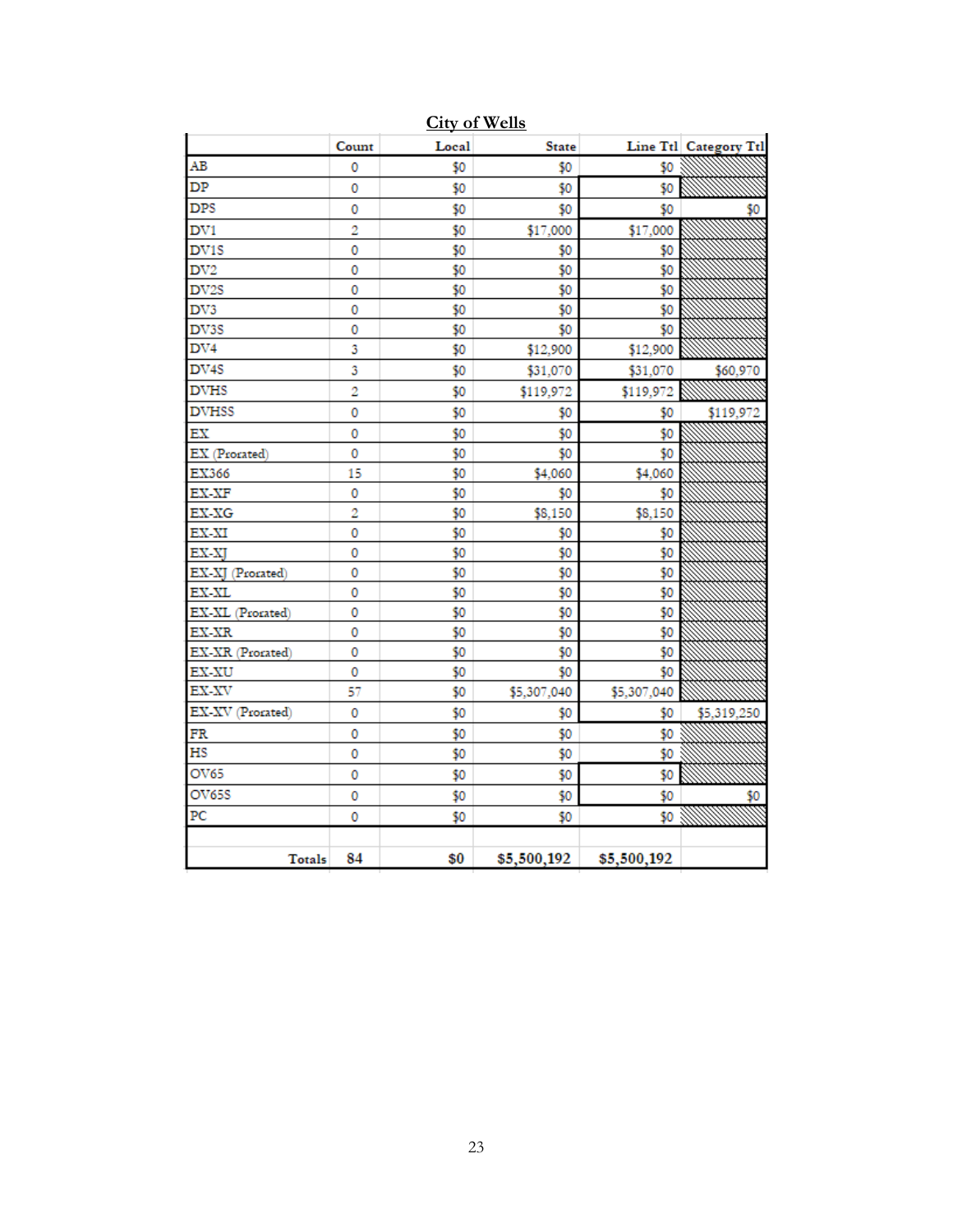|                   | Count          | Local | <b>State</b> |             | Line Ttl Category Ttl |
|-------------------|----------------|-------|--------------|-------------|-----------------------|
| AB                | 0              | \$0   | \$0          | \$0         |                       |
| DP                | 0              | \$0   | \$0          | \$0         |                       |
| DPS               | 0              | \$0   | \$0          | \$0         | 50                    |
| DV <sub>1</sub>   | $\overline{2}$ | \$0   | \$17,000     | \$17,000    |                       |
| DV <sub>1</sub> S | 0              | \$0   | \$0          | \$0         |                       |
| DV2               | 0              | \$0   | \$0          | \$0         |                       |
| DV <sub>2</sub> S | 0              | \$0   | \$0          | \$0         |                       |
| DV3               | 0              | \$0   | \$0          | \$0         |                       |
| DV3S              | 0              | \$0   | \$0          | \$0         |                       |
| DV4               | 3              | \$0   | \$12,900     | \$12,900    |                       |
| DV <sub>4</sub> S | 3              | \$0   | \$31,070     | \$31,070    | \$60,970              |
| <b>DVHS</b>       | $\overline{2}$ | \$0   | \$119,972    | \$119,972   |                       |
| <b>DVHSS</b>      | 0              | \$0   | \$0          | \$0         | \$119,972             |
| EX                | 0              | \$0   | \$0          | \$0         |                       |
| EX (Prorated)     | 0              | \$0   | \$0          | \$0         |                       |
| EX366             | 15             | \$0   | \$4,060      | \$4,060     |                       |
| EX-XF             | 0              | \$0   | \$0          | \$0         |                       |
| EX-XG             | 2              | \$0   | \$8,150      | \$8,150     |                       |
| EX-XI             | 0              | \$0   | \$0          | \$0         |                       |
| EX-XJ             | 0              | \$0   | \$0          | \$0         |                       |
| EX-XJ (Prorated)  | 0              | \$0   | \$0          | \$0         |                       |
| EX-XL             | 0              | \$0   | \$0          | \$0         |                       |
| EX-XL (Prorated)  | 0              | \$0   | \$0          | \$0         |                       |
| EX-XR             | 0              | \$0   | \$0          | \$0         |                       |
| EX-XR (Prorated)  | 0              | \$0   | \$0          | \$0         |                       |
| EX-XU             | 0              | \$0   | \$0          | \$0         |                       |
| EX-XV             | 57             | \$0   | \$5,307,040  | \$5,307,040 |                       |
| EX-XV (Prorated)  | 0              | \$0   | \$0          | \$0         | \$5,319,250           |
| FR                | 0              | \$0   | \$0          | \$0         |                       |
| НS                | 0              | \$0   | \$0          | \$0         |                       |
| OV65              | 0              | \$0   | \$0          | \$0         |                       |
| OV65S             | 0              | \$0   | \$0          | \$0         | \$0                   |
| PС                | 0              | \$0   | \$0          | \$0         |                       |
|                   |                |       |              |             |                       |
| Totals            | 84             | \$0   | \$5,500,192  | \$5,500,192 |                       |

**City of Wells**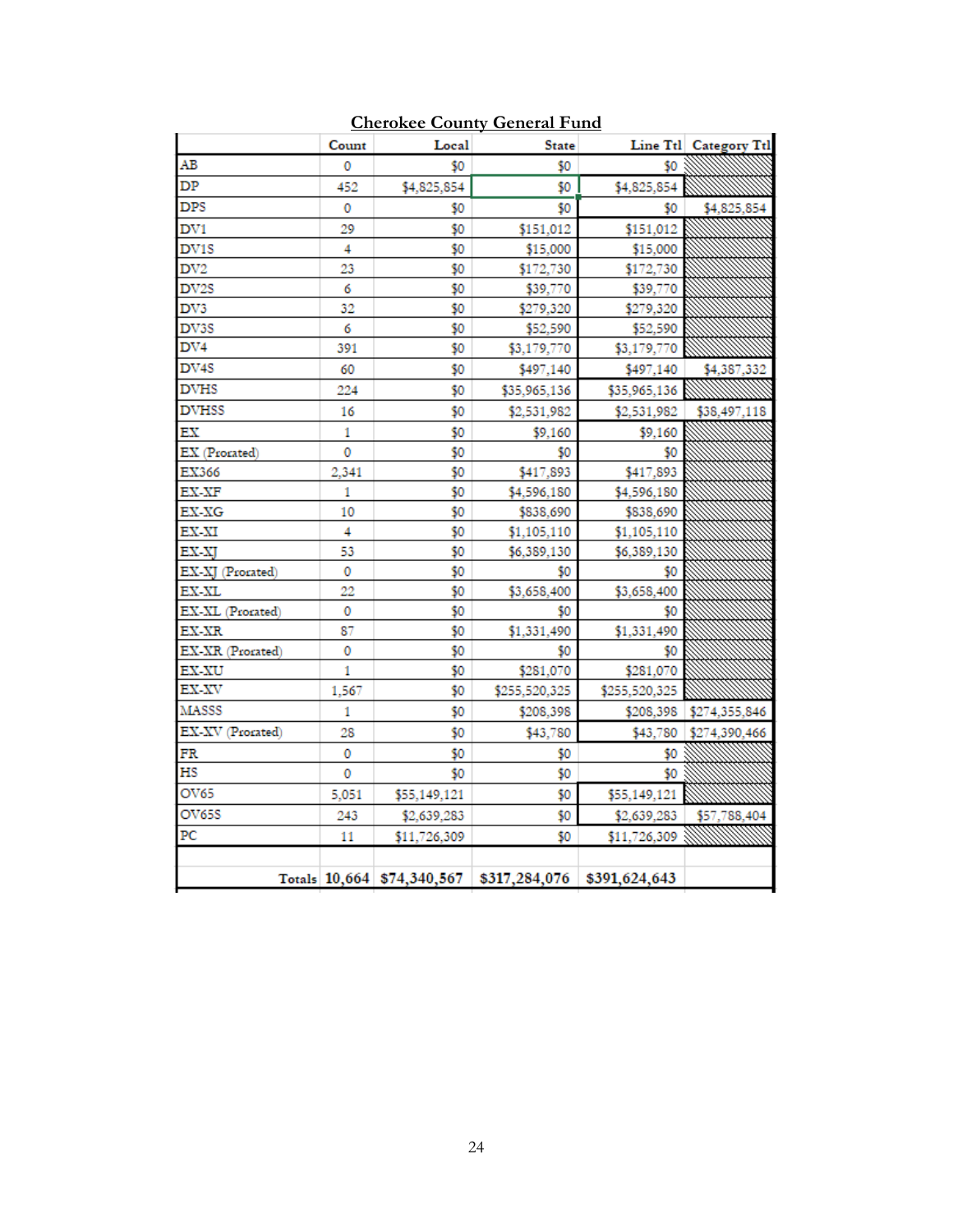|                   | Count | Local                      | <b>State</b>  |               | Line Ttl Category Ttl |
|-------------------|-------|----------------------------|---------------|---------------|-----------------------|
| AВ                | 0     | \$0                        | \$0           | \$0           |                       |
| DP                | 452   | \$4,825,854                | \$0           | \$4,825,854   |                       |
| <b>DPS</b>        | 0     | \$0                        | \$0           | \$0           | \$4,825,854           |
| DV <sub>1</sub>   | 29    | \$0                        | \$151,012     | \$151,012     |                       |
| DV1S              | 4     | \$0                        | \$15,000      | \$15,000      |                       |
| DV <sub>2</sub>   | 23    | \$0                        | \$172,730     | \$172,730     |                       |
| DV <sub>2</sub> S | 6     | \$0                        | \$39,770      | \$39,770      |                       |
| DV3               | 32    | \$0                        | \$279,320     | \$279,320     |                       |
| DV3S              | 6     | \$0                        | \$52,590      | \$52,590      |                       |
| DV4               | 391   | \$0                        | \$3,179,770   | \$3,179,770   |                       |
| DV4S              | 60    | \$0                        | \$497,140     | \$497,140     | \$4,387,332           |
| <b>DVHS</b>       | 224   | \$0                        | \$35,965,136  | \$35,965,136  |                       |
| <b>DVHSS</b>      | 16    | \$0                        | \$2,531,982   | \$2,531,982   | \$38,497,118          |
| ЕX                | 1     | \$0                        | \$9,160       | \$9,160       |                       |
| EX (Prorated)     | 0     | \$0                        | \$0           | \$0           |                       |
| EX366             | 2,341 | \$0                        | \$417,893     | \$417,893     |                       |
| EX-XF             | 1     | \$0                        | \$4,596,180   | \$4,596,180   |                       |
| EX-XG             | 10    | \$0                        | \$838,690     | \$838,690     |                       |
| EX-XI             | 4     | \$0                        | \$1,105,110   | \$1,105,110   |                       |
| EX-XI             | 53    | \$0                        | \$6,389,130   | \$6,389,130   |                       |
| EX-XI (Prorated)  | 0     | \$0                        | \$0           | \$0           |                       |
| EX-XL             | 22    | \$0                        | \$3,658,400   | \$3,658,400   |                       |
| EX-XL (Prorated)  | 0     | \$0                        | \$0           | \$0           |                       |
| EX-XR             | 87    | \$0                        | \$1,331,490   | \$1,331,490   |                       |
| EX-XR (Prorated)  | 0     | \$0                        | \$0           | \$0           |                       |
| <b>EX-XU</b>      | 1     | \$0                        | \$281,070     | \$281,070     |                       |
| EX-XV             | 1,567 | \$0                        | \$255,520,325 | \$255,520,325 |                       |
| <b>MASSS</b>      | 1     | \$0                        | \$208,398     | \$208,398     | \$274,355,846         |
| EX-XV (Prorated)  | 28    | \$0                        | \$43,780      | \$43,780      | \$274,390,466         |
| FR                | 0     | \$0                        | \$0           | \$0           |                       |
| НS                | 0     | \$0                        | \$0           | \$0           |                       |
| OV65              | 5,051 | \$55,149,121               | \$0           | \$55,149,121  |                       |
| <b>OV65S</b>      | 243   | \$2,639,283                | \$0           | \$2,639,283   | \$57,788,404          |
| PС                | 11    | \$11,726,309               | \$0           | \$11,726,309  |                       |
|                   |       |                            |               |               |                       |
|                   |       | Totals 10,664 \$74,340,567 | \$317,284,076 | \$391,624,643 |                       |

## **Cherokee County General Fund**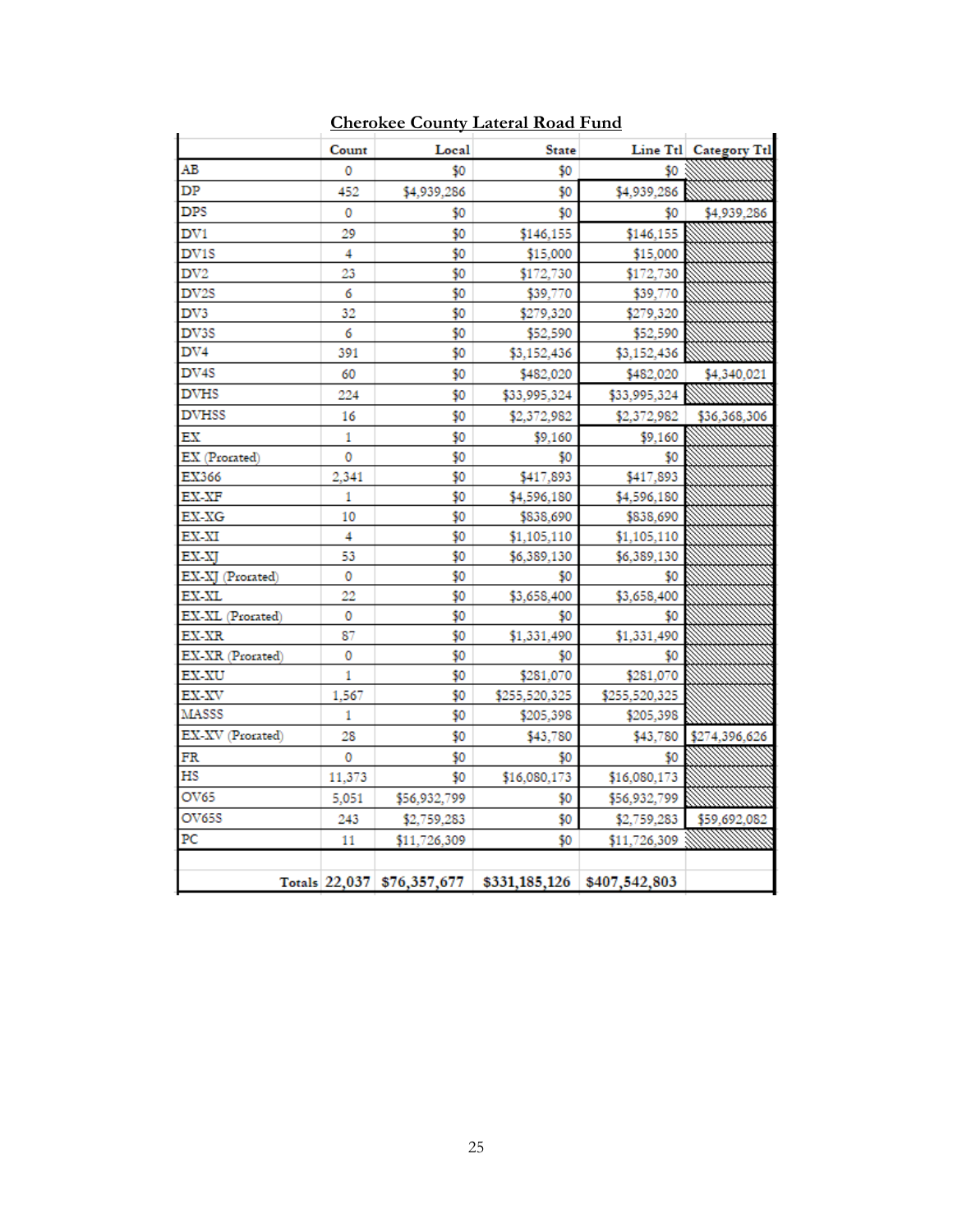|                   | Count  | Local        | <b>State</b>                                           |               | Line Ttl Category Ttl |
|-------------------|--------|--------------|--------------------------------------------------------|---------------|-----------------------|
| AВ                | 0      | \$0          | \$0                                                    | \$0           |                       |
| DP                | 452    | \$4,939,286  | \$0                                                    | \$4,939,286   |                       |
| <b>DPS</b>        | 0      | \$0          | \$0                                                    | \$0           | \$4,939,286           |
| DV1               | 29     | \$0          | \$146,155                                              | \$146,155     |                       |
| DV1S              | 4      | \$0          | \$15,000                                               | \$15,000      |                       |
| DV2               | 23     | \$0          | \$172,730                                              | \$172,730     |                       |
| DV <sub>2</sub> S | 6      | \$0          | \$39,770                                               | \$39,770      |                       |
| DV3               | 32     | \$0          | \$279,320                                              | \$279,320     |                       |
| DV3S              | 6      | \$0          | \$52,590                                               | \$52,590      |                       |
| DV4               | 391    | \$0          | \$3,152,436                                            | \$3,152,436   |                       |
| DV4S              | 60     | \$0          | \$482,020                                              | \$482,020     | \$4,340,021           |
| <b>DVHS</b>       | 224    | \$0          | \$33,995,324                                           | \$33,995,324  |                       |
| <b>DVHSS</b>      | 16     | \$0          | \$2,372,982                                            | \$2,372,982   | \$36,368,306          |
| ЕX                | 1      | \$0          | \$9,160                                                | \$9,160       |                       |
| EX (Prorated)     | 0      | \$0          | \$0                                                    | \$0           |                       |
| EX366             | 2.341  | \$0          | \$417,893                                              | \$417,893     |                       |
| EX-XF             | 1      | \$0          | \$4,596,180                                            | \$4,596,180   |                       |
| EX-XG             | 10     | \$0          | \$838,690                                              | \$838,690     |                       |
| EX-XI             | 4      | \$0          | \$1,105,110                                            | \$1,105,110   |                       |
| EX-XI             | 53     | \$0          | \$6,389,130                                            | \$6,389,130   |                       |
| EX-XJ (Prorated)  | 0      | \$0          | \$0                                                    | \$0           |                       |
| EX-XL             | 22     | \$0          | \$3,658,400                                            | \$3,658,400   |                       |
| EX-XL (Prorated)  | 0      | \$0          | \$0                                                    | \$0           |                       |
| EX-XR             | 87     | \$0          | \$1,331,490                                            | \$1,331,490   |                       |
| EX-XR (Prorated)  | 0      | \$0          | \$0                                                    | 50            |                       |
| EX-XU             | 1      | \$0          | \$281,070                                              | \$281,070     |                       |
| EX-XV             | 1,567  | \$0          | \$255,520,325                                          | \$255,520,325 |                       |
| <b>MASSS</b>      | 1      | \$0          | \$205,398                                              | \$205,398     |                       |
| EX-XV (Prorated)  | 28     | \$0          | \$43,780                                               | \$43,780      | \$274,396,626         |
| FR                | 0      | \$0          | \$0                                                    | \$0           |                       |
| НS                | 11,373 | \$0          | \$16,080,173                                           | \$16,080,173  |                       |
| OV65              | 5,051  | \$56,932,799 | \$0                                                    | \$56,932,799  |                       |
| OV65S             | 243    | \$2,759,283  | \$0                                                    | \$2,759,283   | \$59,692,082          |
| PС                | 11     | \$11,726,309 | \$0                                                    | \$11,726,309  |                       |
|                   |        |              |                                                        |               |                       |
|                   |        |              | Totals 22,037 \$76,357,677 \$331,185,126 \$407,542,803 |               |                       |

**Cherokee County Lateral Road Fund**